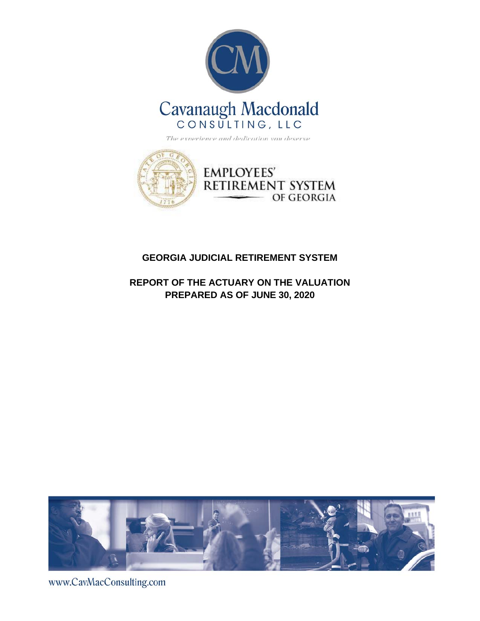



### **GEORGIA JUDICIAL RETIREMENT SYSTEM**

**REPORT OF THE ACTUARY ON THE VALUATION PREPARED AS OF JUNE 30, 2020**



www.CavMacConsulting.com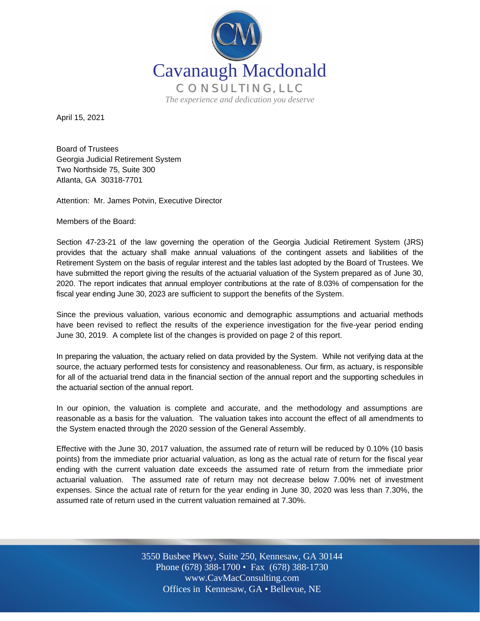

April 15, 2021

Board of Trustees Georgia Judicial Retirement System Two Northside 75, Suite 300 Atlanta, GA 30318-7701

Attention: Mr. James Potvin, Executive Director

Members of the Board:

Section 47-23-21 of the law governing the operation of the Georgia Judicial Retirement System (JRS) provides that the actuary shall make annual valuations of the contingent assets and liabilities of the Retirement System on the basis of regular interest and the tables last adopted by the Board of Trustees. We have submitted the report giving the results of the actuarial valuation of the System prepared as of June 30, 2020. The report indicates that annual employer contributions at the rate of 8.03% of compensation for the fiscal year ending June 30, 2023 are sufficient to support the benefits of the System.

Since the previous valuation, various economic and demographic assumptions and actuarial methods have been revised to reflect the results of the experience investigation for the five-year period ending June 30, 2019. A complete list of the changes is provided on page 2 of this report.

In preparing the valuation, the actuary relied on data provided by the System. While not verifying data at the source, the actuary performed tests for consistency and reasonableness. Our firm, as actuary, is responsible for all of the actuarial trend data in the financial section of the annual report and the supporting schedules in the actuarial section of the annual report.

In our opinion, the valuation is complete and accurate, and the methodology and assumptions are reasonable as a basis for the valuation. The valuation takes into account the effect of all amendments to the System enacted through the 2020 session of the General Assembly.

Effective with the June 30, 2017 valuation, the assumed rate of return will be reduced by 0.10% (10 basis points) from the immediate prior actuarial valuation, as long as the actual rate of return for the fiscal year ending with the current valuation date exceeds the assumed rate of return from the immediate prior actuarial valuation. The assumed rate of return may not decrease below 7.00% net of investment expenses. Since the actual rate of return for the year ending in June 30, 2020 was less than 7.30%, the assumed rate of return used in the current valuation remained at 7.30%.

> Off Offices in Kennesaw, GA • Bellevue, NE 3550 Busbee Pkwy, Suite 250, Kennesaw, GA 30144 Phone (678) 388-1700 • Fax (678) 388-1730 www.CavMacConsulting.com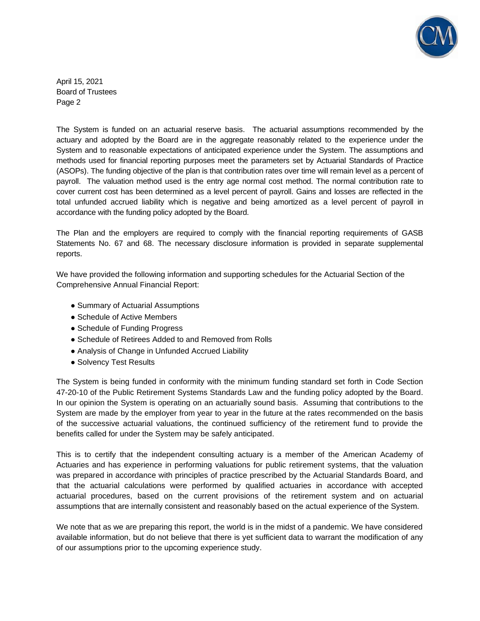

April 15, 2021 Board of Trustees Page 2

The System is funded on an actuarial reserve basis. The actuarial assumptions recommended by the actuary and adopted by the Board are in the aggregate reasonably related to the experience under the System and to reasonable expectations of anticipated experience under the System. The assumptions and methods used for financial reporting purposes meet the parameters set by Actuarial Standards of Practice (ASOPs). The funding objective of the plan is that contribution rates over time will remain level as a percent of payroll. The valuation method used is the entry age normal cost method. The normal contribution rate to cover current cost has been determined as a level percent of payroll. Gains and losses are reflected in the total unfunded accrued liability which is negative and being amortized as a level percent of payroll in accordance with the funding policy adopted by the Board.

The Plan and the employers are required to comply with the financial reporting requirements of GASB Statements No. 67 and 68. The necessary disclosure information is provided in separate supplemental reports.

We have provided the following information and supporting schedules for the Actuarial Section of the Comprehensive Annual Financial Report:

- Summary of Actuarial Assumptions
- Schedule of Active Members
- Schedule of Funding Progress
- Schedule of Retirees Added to and Removed from Rolls
- Analysis of Change in Unfunded Accrued Liability
- Solvency Test Results

The System is being funded in conformity with the minimum funding standard set forth in Code Section 47-20-10 of the Public Retirement Systems Standards Law and the funding policy adopted by the Board. In our opinion the System is operating on an actuarially sound basis. Assuming that contributions to the System are made by the employer from year to year in the future at the rates recommended on the basis of the successive actuarial valuations, the continued sufficiency of the retirement fund to provide the benefits called for under the System may be safely anticipated.

This is to certify that the independent consulting actuary is a member of the American Academy of Actuaries and has experience in performing valuations for public retirement systems, that the valuation was prepared in accordance with principles of practice prescribed by the Actuarial Standards Board, and that the actuarial calculations were performed by qualified actuaries in accordance with accepted actuarial procedures, based on the current provisions of the retirement system and on actuarial assumptions that are internally consistent and reasonably based on the actual experience of the System.

We note that as we are preparing this report, the world is in the midst of a pandemic. We have considered available information, but do not believe that there is yet sufficient data to warrant the modification of any of our assumptions prior to the upcoming experience study.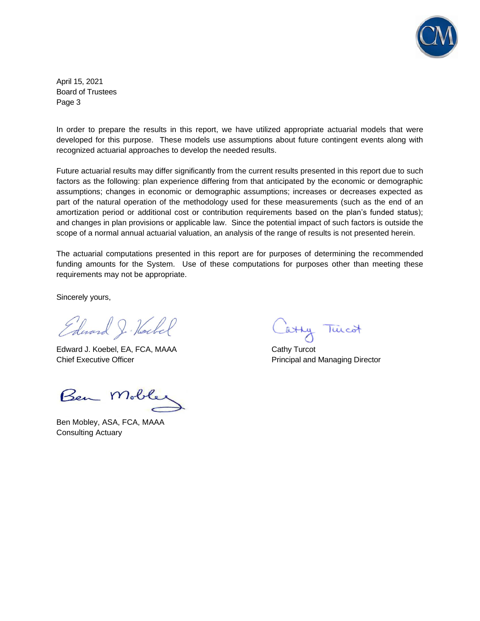

April 15, 2021 Board of Trustees Page 3

In order to prepare the results in this report, we have utilized appropriate actuarial models that were developed for this purpose. These models use assumptions about future contingent events along with recognized actuarial approaches to develop the needed results.

Future actuarial results may differ significantly from the current results presented in this report due to such factors as the following: plan experience differing from that anticipated by the economic or demographic assumptions; changes in economic or demographic assumptions; increases or decreases expected as part of the natural operation of the methodology used for these measurements (such as the end of an amortization period or additional cost or contribution requirements based on the plan's funded status); and changes in plan provisions or applicable law. Since the potential impact of such factors is outside the scope of a normal annual actuarial valuation, an analysis of the range of results is not presented herein.

The actuarial computations presented in this report are for purposes of determining the recommended funding amounts for the System. Use of these computations for purposes other than meeting these requirements may not be appropriate.

Sincerely yours,

Edward J. Hockel

Edward J. Koebel, EA, FCA, MAAA Cathy Turcot Chief Executive Officer **Principal and Managing Director** Principal and Managing Director

Ben Mobles

Ben Mobley, ASA, FCA, MAAA Consulting Actuary

Catty Tuicot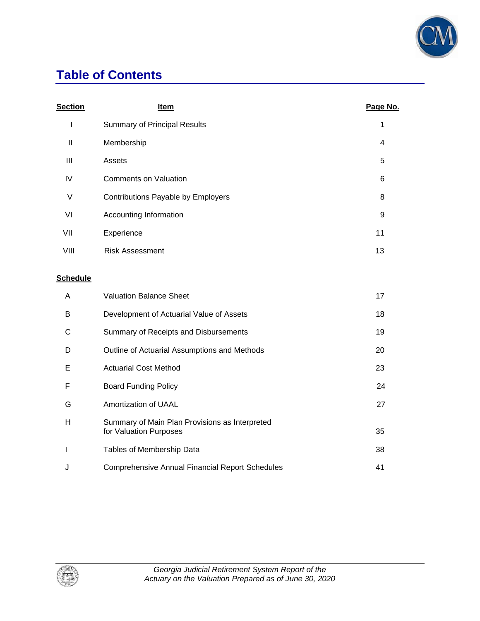

## **Table of Contents**

| <b>Section</b>  | <u>Item</u>                                                              | Page No. |
|-----------------|--------------------------------------------------------------------------|----------|
| I               | <b>Summary of Principal Results</b>                                      | 1        |
| $\mathbf{I}$    | Membership                                                               | 4        |
| III             | Assets                                                                   | 5        |
| IV              | <b>Comments on Valuation</b>                                             | 6        |
| $\vee$          | Contributions Payable by Employers                                       | 8        |
| VI              | Accounting Information                                                   | 9        |
| VII             | Experience                                                               | 11       |
| VIII            | <b>Risk Assessment</b>                                                   | 13       |
| <b>Schedule</b> |                                                                          |          |
| A               | <b>Valuation Balance Sheet</b>                                           | 17       |
| B               | Development of Actuarial Value of Assets                                 | 18       |
| С               | Summary of Receipts and Disbursements                                    | 19       |
| D               | Outline of Actuarial Assumptions and Methods                             | 20       |
| Е               | <b>Actuarial Cost Method</b>                                             | 23       |
| F               | <b>Board Funding Policy</b>                                              | 24       |
| G               | Amortization of UAAL                                                     | 27       |
| H               | Summary of Main Plan Provisions as Interpreted<br>for Valuation Purposes | 35       |
| $\mathsf{I}$    | Tables of Membership Data                                                | 38       |
| J               | <b>Comprehensive Annual Financial Report Schedules</b>                   | 41       |

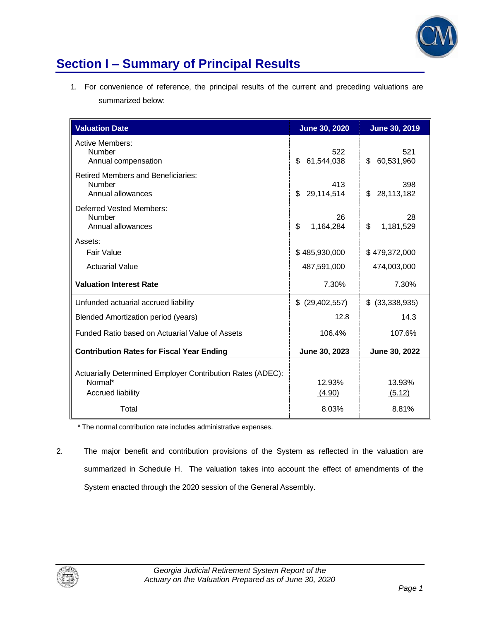

## **Section I – Summary of Principal Results**

1. For convenience of reference, the principal results of the current and preceding valuations are summarized below:

| <b>Valuation Date</b>                                                                             | <b>June 30, 2020</b>                                | <b>June 30, 2019</b>    |
|---------------------------------------------------------------------------------------------------|-----------------------------------------------------|-------------------------|
| <b>Active Members:</b><br>Number<br>Annual compensation                                           | 522<br>521<br>61,544,038<br>60,531,960<br>\$.<br>\$ |                         |
| <b>Retired Members and Beneficiaries:</b><br>Number<br>Annual allowances                          | 413<br>29,114,514<br>\$                             | 398<br>28,113,182<br>\$ |
| Deferred Vested Members:<br>Number<br>Annual allowances                                           | 26<br>\$<br>1,164,284                               | 28<br>\$<br>1,181,529   |
| Assets:                                                                                           |                                                     |                         |
| Fair Value                                                                                        | \$485,930,000                                       | \$479,372,000           |
| <b>Actuarial Value</b>                                                                            | 487,591,000<br>474,003,000                          |                         |
| <b>Valuation Interest Rate</b>                                                                    | 7.30%                                               | 7.30%                   |
| Unfunded actuarial accrued liability                                                              | (29, 402, 557)<br>\$                                | $$$ (33,338,935)        |
| <b>Blended Amortization period (years)</b>                                                        | 12.8                                                | 14.3                    |
| Funded Ratio based on Actuarial Value of Assets                                                   | 106.4%                                              | 107.6%                  |
| <b>Contribution Rates for Fiscal Year Ending</b>                                                  | June 30, 2023                                       | June 30, 2022           |
| Actuarially Determined Employer Contribution Rates (ADEC):<br>Normal*<br><b>Accrued liability</b> | 12.93%<br>(4.90)                                    | 13.93%<br>(5.12)        |
| Total                                                                                             | 8.03%                                               | 8.81%                   |

\* The normal contribution rate includes administrative expenses.

2. The major benefit and contribution provisions of the System as reflected in the valuation are summarized in Schedule H. The valuation takes into account the effect of amendments of the System enacted through the 2020 session of the General Assembly.

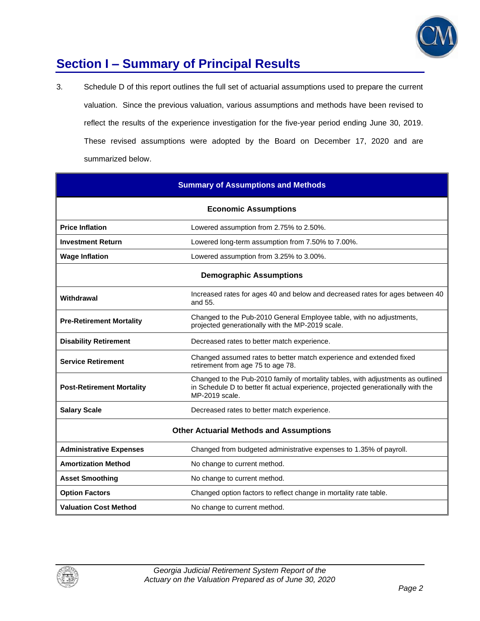

## **Section I – Summary of Principal Results**

3. Schedule D of this report outlines the full set of actuarial assumptions used to prepare the current valuation. Since the previous valuation, various assumptions and methods have been revised to reflect the results of the experience investigation for the five-year period ending June 30, 2019. These revised assumptions were adopted by the Board on December 17, 2020 and are summarized below.

| <b>Summary of Assumptions and Methods</b>      |                                                                                                                                                                                        |  |  |  |  |
|------------------------------------------------|----------------------------------------------------------------------------------------------------------------------------------------------------------------------------------------|--|--|--|--|
|                                                | <b>Economic Assumptions</b>                                                                                                                                                            |  |  |  |  |
| <b>Price Inflation</b>                         | Lowered assumption from 2.75% to 2.50%.                                                                                                                                                |  |  |  |  |
| <b>Investment Return</b>                       | Lowered long-term assumption from 7.50% to 7.00%.                                                                                                                                      |  |  |  |  |
| <b>Wage Inflation</b>                          | Lowered assumption from 3.25% to 3.00%.                                                                                                                                                |  |  |  |  |
|                                                | <b>Demographic Assumptions</b>                                                                                                                                                         |  |  |  |  |
| Withdrawal                                     | Increased rates for ages 40 and below and decreased rates for ages between 40<br>and 55.                                                                                               |  |  |  |  |
| <b>Pre-Retirement Mortality</b>                | Changed to the Pub-2010 General Employee table, with no adjustments,<br>projected generationally with the MP-2019 scale.                                                               |  |  |  |  |
| <b>Disability Retirement</b>                   | Decreased rates to better match experience.                                                                                                                                            |  |  |  |  |
| <b>Service Retirement</b>                      | Changed assumed rates to better match experience and extended fixed<br>retirement from age 75 to age 78.                                                                               |  |  |  |  |
| <b>Post-Retirement Mortality</b>               | Changed to the Pub-2010 family of mortality tables, with adjustments as outlined<br>in Schedule D to better fit actual experience, projected generationally with the<br>MP-2019 scale. |  |  |  |  |
| <b>Salary Scale</b>                            | Decreased rates to better match experience.                                                                                                                                            |  |  |  |  |
| <b>Other Actuarial Methods and Assumptions</b> |                                                                                                                                                                                        |  |  |  |  |
| <b>Administrative Expenses</b>                 | Changed from budgeted administrative expenses to 1.35% of payroll.                                                                                                                     |  |  |  |  |
| <b>Amortization Method</b>                     | No change to current method.                                                                                                                                                           |  |  |  |  |
| <b>Asset Smoothing</b>                         | No change to current method.                                                                                                                                                           |  |  |  |  |
| <b>Option Factors</b>                          | Changed option factors to reflect change in mortality rate table.                                                                                                                      |  |  |  |  |
| <b>Valuation Cost Method</b>                   | No change to current method.                                                                                                                                                           |  |  |  |  |

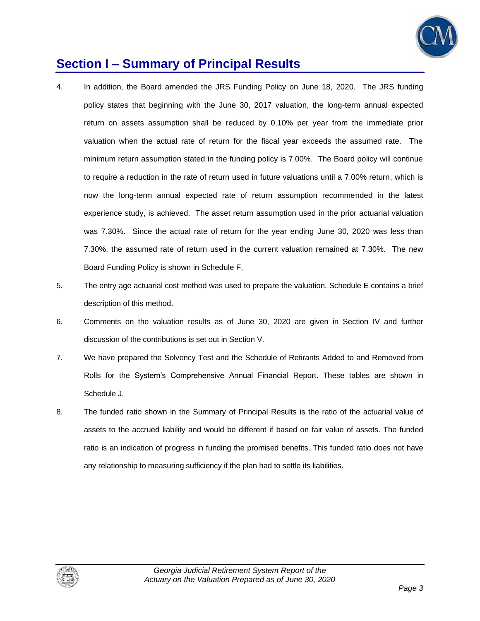

## **Section I – Summary of Principal Results**

- 4. In addition, the Board amended the JRS Funding Policy on June 18, 2020. The JRS funding policy states that beginning with the June 30, 2017 valuation, the long-term annual expected return on assets assumption shall be reduced by 0.10% per year from the immediate prior valuation when the actual rate of return for the fiscal year exceeds the assumed rate. The minimum return assumption stated in the funding policy is 7.00%. The Board policy will continue to require a reduction in the rate of return used in future valuations until a 7.00% return, which is now the long-term annual expected rate of return assumption recommended in the latest experience study, is achieved. The asset return assumption used in the prior actuarial valuation was 7.30%. Since the actual rate of return for the year ending June 30, 2020 was less than 7.30%, the assumed rate of return used in the current valuation remained at 7.30%. The new Board Funding Policy is shown in Schedule F.
- 5. The entry age actuarial cost method was used to prepare the valuation. Schedule E contains a brief description of this method.
- 6. Comments on the valuation results as of June 30, 2020 are given in Section IV and further discussion of the contributions is set out in Section V.
- 7. We have prepared the Solvency Test and the Schedule of Retirants Added to and Removed from Rolls for the System's Comprehensive Annual Financial Report. These tables are shown in Schedule J.
- 8. The funded ratio shown in the Summary of Principal Results is the ratio of the actuarial value of assets to the accrued liability and would be different if based on fair value of assets. The funded ratio is an indication of progress in funding the promised benefits. This funded ratio does not have any relationship to measuring sufficiency if the plan had to settle its liabilities.

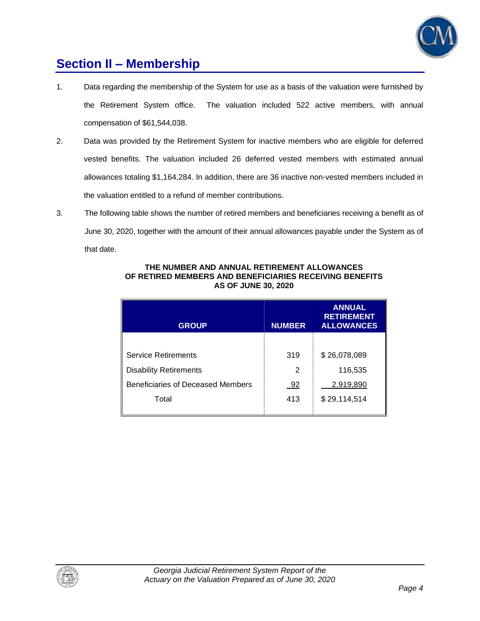

## **Section II – Membership**

- 1. Data regarding the membership of the System for use as a basis of the valuation were furnished by the Retirement System office. The valuation included 522 active members, with annual compensation of \$61,544,038.
- 2. Data was provided by the Retirement System for inactive members who are eligible for deferred vested benefits. The valuation included 26 deferred vested members with estimated annual allowances totaling \$1,164,284. In addition, there are 36 inactive non-vested members included in the valuation entitled to a refund of member contributions.
- 3. The following table shows the number of retired members and beneficiaries receiving a benefit as of June 30, 2020, together with the amount of their annual allowances payable under the System as of that date.

| <b>GROUP</b>                      | <b>NUMBER</b> | <b>ANNUAL</b><br><b>RETIREMENT</b><br><b>ALLOWANCES</b> |
|-----------------------------------|---------------|---------------------------------------------------------|
|                                   |               |                                                         |
| <b>Service Retirements</b>        | 319           | \$26,078,089                                            |
| <b>Disability Retirements</b>     | 2             | 116,535                                                 |
| Beneficiaries of Deceased Members | 92            | 2,919,890                                               |
| Total                             | 413           | \$29,114,514                                            |
|                                   |               |                                                         |

#### **THE NUMBER AND ANNUAL RETIREMENT ALLOWANCES OF RETIRED MEMBERS AND BENEFICIARIES RECEIVING BENEFITS AS OF JUNE 30, 2020**

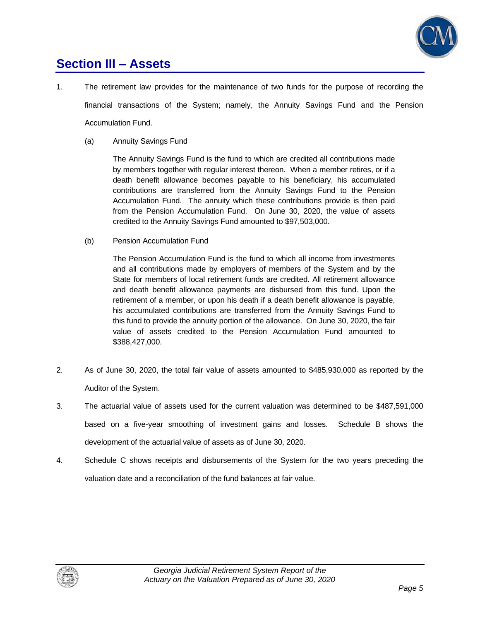

## **Section III – Assets**

- 1. The retirement law provides for the maintenance of two funds for the purpose of recording the financial transactions of the System; namely, the Annuity Savings Fund and the Pension Accumulation Fund.
	- (a) Annuity Savings Fund

The Annuity Savings Fund is the fund to which are credited all contributions made by members together with regular interest thereon. When a member retires, or if a death benefit allowance becomes payable to his beneficiary, his accumulated contributions are transferred from the Annuity Savings Fund to the Pension Accumulation Fund. The annuity which these contributions provide is then paid from the Pension Accumulation Fund. On June 30, 2020, the value of assets credited to the Annuity Savings Fund amounted to \$97,503,000.

(b) Pension Accumulation Fund

The Pension Accumulation Fund is the fund to which all income from investments and all contributions made by employers of members of the System and by the State for members of local retirement funds are credited. All retirement allowance and death benefit allowance payments are disbursed from this fund. Upon the retirement of a member, or upon his death if a death benefit allowance is payable, his accumulated contributions are transferred from the Annuity Savings Fund to this fund to provide the annuity portion of the allowance. On June 30, 2020, the fair value of assets credited to the Pension Accumulation Fund amounted to \$388,427,000.

- 2. As of June 30, 2020, the total fair value of assets amounted to \$485,930,000 as reported by the Auditor of the System.
- 3. The actuarial value of assets used for the current valuation was determined to be \$487,591,000 based on a five-year smoothing of investment gains and losses. Schedule B shows the development of the actuarial value of assets as of June 30, 2020.
- 4. Schedule C shows receipts and disbursements of the System for the two years preceding the valuation date and a reconciliation of the fund balances at fair value.

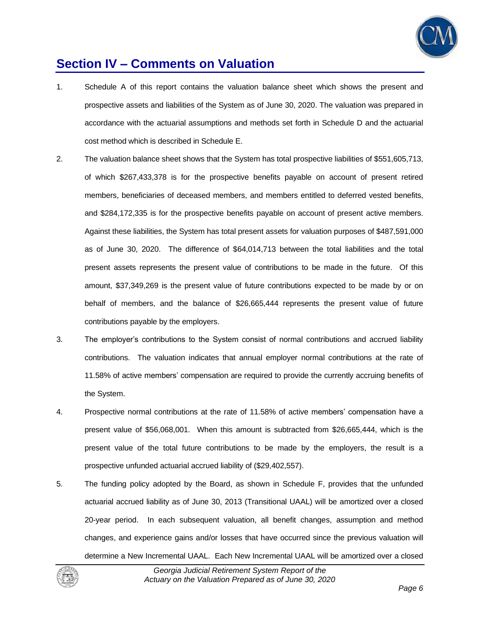

## **Section IV – Comments on Valuation**

- 1. Schedule A of this report contains the valuation balance sheet which shows the present and prospective assets and liabilities of the System as of June 30, 2020. The valuation was prepared in accordance with the actuarial assumptions and methods set forth in Schedule D and the actuarial cost method which is described in Schedule E.
- 2. The valuation balance sheet shows that the System has total prospective liabilities of \$551,605,713, of which \$267,433,378 is for the prospective benefits payable on account of present retired members, beneficiaries of deceased members, and members entitled to deferred vested benefits, and \$284,172,335 is for the prospective benefits payable on account of present active members. Against these liabilities, the System has total present assets for valuation purposes of \$487,591,000 as of June 30, 2020. The difference of \$64,014,713 between the total liabilities and the total present assets represents the present value of contributions to be made in the future. Of this amount, \$37,349,269 is the present value of future contributions expected to be made by or on behalf of members, and the balance of \$26,665,444 represents the present value of future contributions payable by the employers.
- 3. The employer's contributions to the System consist of normal contributions and accrued liability contributions. The valuation indicates that annual employer normal contributions at the rate of 11.58% of active members' compensation are required to provide the currently accruing benefits of the System.
- 4. Prospective normal contributions at the rate of 11.58% of active members' compensation have a present value of \$56,068,001. When this amount is subtracted from \$26,665,444, which is the present value of the total future contributions to be made by the employers, the result is a prospective unfunded actuarial accrued liability of (\$29,402,557).
- 5. The funding policy adopted by the Board, as shown in Schedule F, provides that the unfunded actuarial accrued liability as of June 30, 2013 (Transitional UAAL) will be amortized over a closed 20-year period. In each subsequent valuation, all benefit changes, assumption and method changes, and experience gains and/or losses that have occurred since the previous valuation will determine a New Incremental UAAL. Each New Incremental UAAL will be amortized over a closed

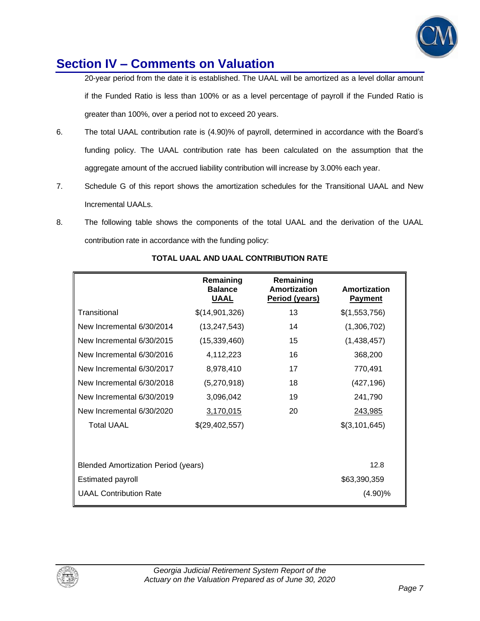

## **Section IV – Comments on Valuation**

20-year period from the date it is established. The UAAL will be amortized as a level dollar amount if the Funded Ratio is less than 100% or as a level percentage of payroll if the Funded Ratio is greater than 100%, over a period not to exceed 20 years.

- 6. The total UAAL contribution rate is (4.90)% of payroll, determined in accordance with the Board's funding policy. The UAAL contribution rate has been calculated on the assumption that the aggregate amount of the accrued liability contribution will increase by 3.00% each year.
- 7. Schedule G of this report shows the amortization schedules for the Transitional UAAL and New Incremental UAALs.
- 8. The following table shows the components of the total UAAL and the derivation of the UAAL contribution rate in accordance with the funding policy:

|                                            | Remaining<br><b>Balance</b><br><b>UAAL</b> | Remaining<br>Amortization<br>Period (years) | Amortization<br><b>Payment</b> |
|--------------------------------------------|--------------------------------------------|---------------------------------------------|--------------------------------|
| Transitional                               | \$(14,901,326)                             | 13                                          | \$(1,553,756)                  |
| New Incremental 6/30/2014                  | (13, 247, 543)                             | 14                                          | (1,306,702)                    |
| New Incremental 6/30/2015                  | (15, 339, 460)                             | 15                                          | (1,438,457)                    |
| New Incremental 6/30/2016                  | 4,112,223                                  | 16                                          | 368,200                        |
| New Incremental 6/30/2017                  | 8,978,410                                  | 17                                          | 770,491                        |
| New Incremental 6/30/2018                  | (5,270,918)                                | 18                                          | (427, 196)                     |
| New Incremental 6/30/2019                  | 3,096,042                                  | 19                                          | 241,790                        |
| New Incremental 6/30/2020                  | 3,170,015                                  | 20                                          | 243,985                        |
| <b>Total UAAL</b>                          | \$(29,402,557)                             |                                             | \$(3,101,645)                  |
|                                            |                                            |                                             |                                |
| <b>Blended Amortization Period (years)</b> |                                            |                                             | 12.8                           |
| <b>Estimated payroll</b>                   |                                            |                                             | \$63,390,359                   |
| <b>UAAL Contribution Rate</b>              |                                            |                                             | (4.90)%                        |
|                                            |                                            |                                             |                                |

### **TOTAL UAAL AND UAAL CONTRIBUTION RATE**

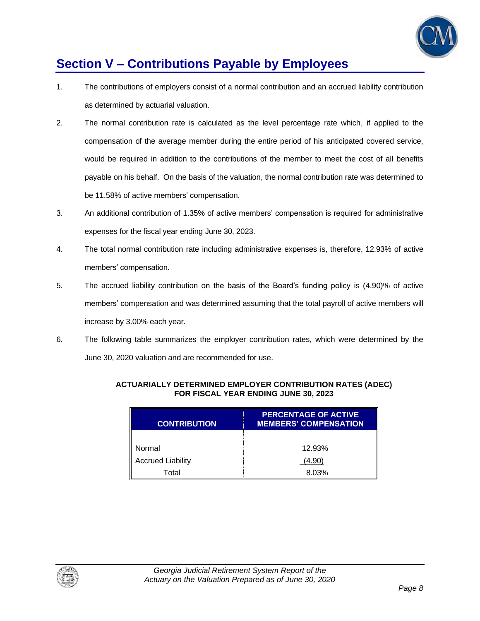

## **Section V – Contributions Payable by Employees**

- 1. The contributions of employers consist of a normal contribution and an accrued liability contribution as determined by actuarial valuation.
- 2. The normal contribution rate is calculated as the level percentage rate which, if applied to the compensation of the average member during the entire period of his anticipated covered service, would be required in addition to the contributions of the member to meet the cost of all benefits payable on his behalf. On the basis of the valuation, the normal contribution rate was determined to be 11.58% of active members' compensation.
- 3. An additional contribution of 1.35% of active members' compensation is required for administrative expenses for the fiscal year ending June 30, 2023.
- 4. The total normal contribution rate including administrative expenses is, therefore, 12.93% of active members' compensation.
- 5. The accrued liability contribution on the basis of the Board's funding policy is (4.90)% of active members' compensation and was determined assuming that the total payroll of active members will increase by 3.00% each year.
- 6. The following table summarizes the employer contribution rates, which were determined by the June 30, 2020 valuation and are recommended for use.

| <b>CONTRIBUTION</b>      | <b>PERCENTAGE OF ACTIVE</b><br><b>MEMBERS' COMPENSATION</b> |
|--------------------------|-------------------------------------------------------------|
|                          |                                                             |
| Normal                   | 12.93%                                                      |
| <b>Accrued Liability</b> | (4.90)                                                      |
| Total                    | 8.03%                                                       |

### **ACTUARIALLY DETERMINED EMPLOYER CONTRIBUTION RATES (ADEC) FOR FISCAL YEAR ENDING JUNE 30, 2023**

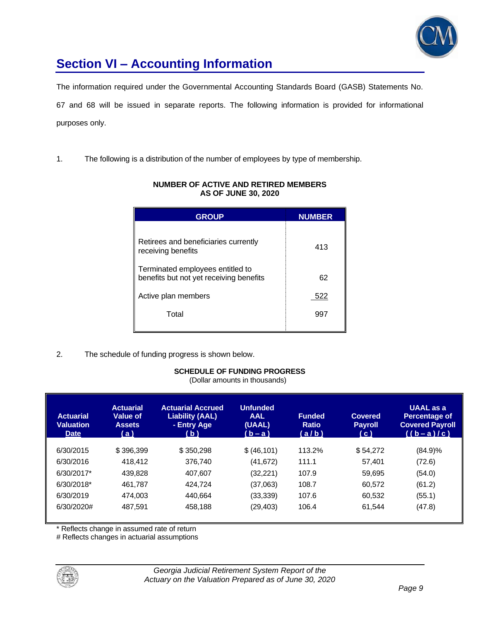

## **Section VI – Accounting Information**

The information required under the Governmental Accounting Standards Board (GASB) Statements No.

67 and 68 will be issued in separate reports. The following information is provided for informational purposes only.

1. The following is a distribution of the number of employees by type of membership.

| <b>GROUP</b>                                                                | <b>NUMBER</b> |
|-----------------------------------------------------------------------------|---------------|
| Retirees and beneficiaries currently<br>receiving benefits                  | 413           |
| Terminated employees entitled to<br>benefits but not yet receiving benefits | 62            |
| Active plan members                                                         | 522           |
| Total                                                                       | 997           |

### **NUMBER OF ACTIVE AND RETIRED MEMBERS AS OF JUNE 30, 2020**

2. The schedule of funding progress is shown below.

### **SCHEDULE OF FUNDING PROGRESS**

(Dollar amounts in thousands)

| <b>Actuarial</b><br><b>Valuation</b><br><b>Date</b> | <b>Actuarial</b><br>Value of<br><b>Assets</b><br>(a) | <b>Actuarial Accrued</b><br><b>Liability (AAL)</b><br>- Entry Age<br>( b ) | <b>Unfunded</b><br><b>AAL</b><br>(UAAL)<br>$(b - a)$ | <b>Funded</b><br><b>Ratio</b><br>(a/b) | <b>Covered</b><br><b>Payroll</b><br>(c) | UAAL as a<br>Percentage of<br><b>Covered Payroll</b><br>$((b-a)/c)$ |
|-----------------------------------------------------|------------------------------------------------------|----------------------------------------------------------------------------|------------------------------------------------------|----------------------------------------|-----------------------------------------|---------------------------------------------------------------------|
| 6/30/2015                                           | \$396,399                                            | \$350,298                                                                  | \$ (46, 101)                                         | 113.2%                                 | \$54,272                                | $(84.9)\%$                                                          |
| 6/30/2016                                           | 418,412                                              | 376.740                                                                    | (41, 672)                                            | 111.1                                  | 57,401                                  | (72.6)                                                              |
| 6/30/2017*                                          | 439.828                                              | 407.607                                                                    | (32, 221)                                            | 107.9                                  | 59.695                                  | (54.0)                                                              |
| 6/30/2018*                                          | 461.787                                              | 424.724                                                                    | (37,063)                                             | 108.7                                  | 60,572                                  | (61.2)                                                              |
| 6/30/2019                                           | 474,003                                              | 440.664                                                                    | (33, 339)                                            | 107.6                                  | 60.532                                  | (55.1)                                                              |
| 6/30/2020#                                          | 487,591                                              | 458,188                                                                    | (29, 403)                                            | 106.4                                  | 61.544                                  | (47.8)                                                              |

\* Reflects change in assumed rate of return

# Reflects changes in actuarial assumptions

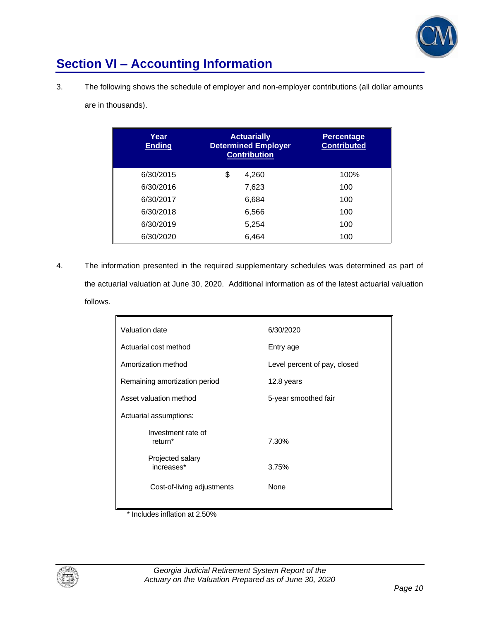

## **Section VI – Accounting Information**

3. The following shows the schedule of employer and non-employer contributions (all dollar amounts

|  |  | are in thousands). |
|--|--|--------------------|
|--|--|--------------------|

| Year<br><b>Ending</b> | <b>Actuarially</b><br><b>Determined Employer</b><br><b>Contribution</b> | <b>Percentage</b><br><b>Contributed</b> |
|-----------------------|-------------------------------------------------------------------------|-----------------------------------------|
| 6/30/2015             | \$<br>4,260                                                             | 100%                                    |
| 6/30/2016             | 7,623                                                                   | 100                                     |
| 6/30/2017             | 6,684                                                                   | 100                                     |
| 6/30/2018             | 6,566                                                                   | 100                                     |
| 6/30/2019             | 5,254                                                                   | 100                                     |
| 6/30/2020             | 6,464                                                                   | 100                                     |

4. The information presented in the required supplementary schedules was determined as part of the actuarial valuation at June 30, 2020. Additional information as of the latest actuarial valuation follows.

| Valuation date                                                                                          | 6/30/2020                          |  |
|---------------------------------------------------------------------------------------------------------|------------------------------------|--|
| Actuarial cost method                                                                                   | Entry age                          |  |
| Amortization method                                                                                     | Level percent of pay, closed       |  |
|                                                                                                         |                                    |  |
|                                                                                                         |                                    |  |
|                                                                                                         |                                    |  |
|                                                                                                         |                                    |  |
| return <sup>*</sup>                                                                                     | 7.30%                              |  |
| Projected salary<br>increases*                                                                          | 3.75%                              |  |
| Cost-of-living adjustments                                                                              | None                               |  |
| Remaining amortization period<br>Asset valuation method<br>Actuarial assumptions:<br>Investment rate of | 12.8 years<br>5-year smoothed fair |  |

\* Includes inflation at 2.50%

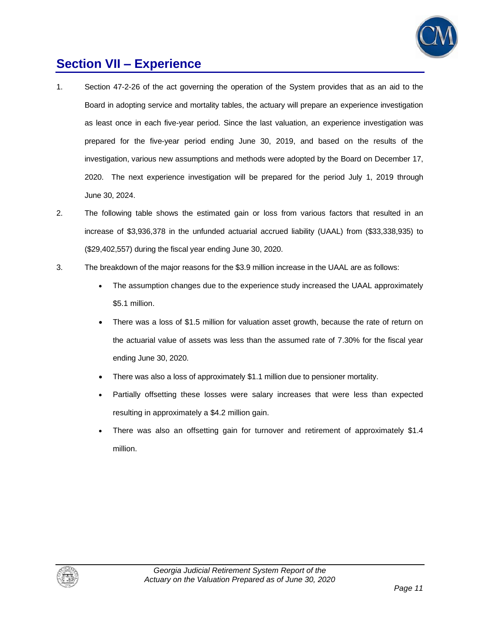

## **Section VII – Experience**

- 1. Section 47-2-26 of the act governing the operation of the System provides that as an aid to the Board in adopting service and mortality tables, the actuary will prepare an experience investigation as least once in each five-year period. Since the last valuation, an experience investigation was prepared for the five-year period ending June 30, 2019, and based on the results of the investigation, various new assumptions and methods were adopted by the Board on December 17, 2020. The next experience investigation will be prepared for the period July 1, 2019 through June 30, 2024.
- 2. The following table shows the estimated gain or loss from various factors that resulted in an increase of \$3,936,378 in the unfunded actuarial accrued liability (UAAL) from (\$33,338,935) to (\$29,402,557) during the fiscal year ending June 30, 2020.
- 3. The breakdown of the major reasons for the \$3.9 million increase in the UAAL are as follows:
	- The assumption changes due to the experience study increased the UAAL approximately \$5.1 million.
	- There was a loss of \$1.5 million for valuation asset growth, because the rate of return on the actuarial value of assets was less than the assumed rate of 7.30% for the fiscal year ending June 30, 2020.
	- There was also a loss of approximately \$1.1 million due to pensioner mortality.
	- Partially offsetting these losses were salary increases that were less than expected resulting in approximately a \$4.2 million gain.
	- There was also an offsetting gain for turnover and retirement of approximately \$1.4 million.

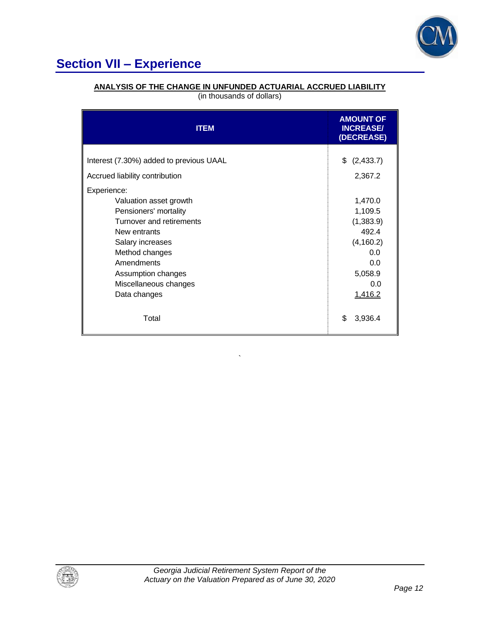

## **Section VII – Experience**

### **ANALYSIS OF THE CHANGE IN UNFUNDED ACTUARIAL ACCRUED LIABILITY**

(in thousands of dollars)

| <b>ITEM</b>                                                                                                                                                                                                                   | <b>AMOUNT OF</b><br><b>INCREASE/</b><br>(DECREASE)                                                |
|-------------------------------------------------------------------------------------------------------------------------------------------------------------------------------------------------------------------------------|---------------------------------------------------------------------------------------------------|
| Interest (7.30%) added to previous UAAL<br>Accrued liability contribution                                                                                                                                                     | \$<br>(2,433.7)<br>2,367.2                                                                        |
| Experience:<br>Valuation asset growth<br>Pensioners' mortality<br>Turnover and retirements<br>New entrants<br>Salary increases<br>Method changes<br>Amendments<br>Assumption changes<br>Miscellaneous changes<br>Data changes | 1,470.0<br>1,109.5<br>(1,383.9)<br>492.4<br>(4, 160.2)<br>0.0<br>0.0<br>5,058.9<br>0.0<br>1,416.2 |
| Total                                                                                                                                                                                                                         | \$<br>3,936.4                                                                                     |

`

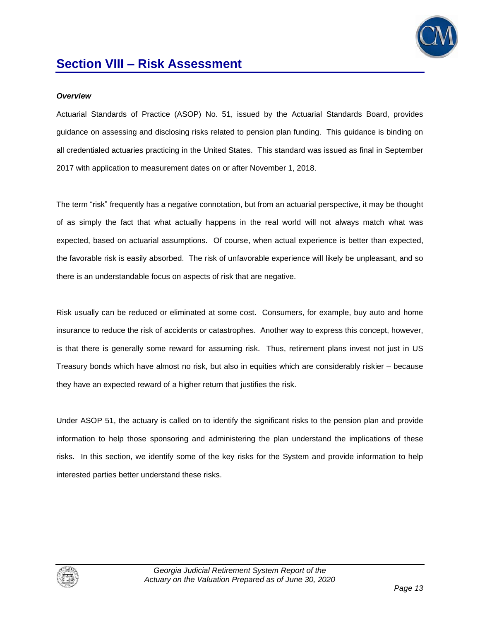

### *Overview*

Actuarial Standards of Practice (ASOP) No. 51, issued by the Actuarial Standards Board, provides guidance on assessing and disclosing risks related to pension plan funding. This guidance is binding on all credentialed actuaries practicing in the United States. This standard was issued as final in September 2017 with application to measurement dates on or after November 1, 2018.

The term "risk" frequently has a negative connotation, but from an actuarial perspective, it may be thought of as simply the fact that what actually happens in the real world will not always match what was expected, based on actuarial assumptions. Of course, when actual experience is better than expected, the favorable risk is easily absorbed. The risk of unfavorable experience will likely be unpleasant, and so there is an understandable focus on aspects of risk that are negative.

Risk usually can be reduced or eliminated at some cost. Consumers, for example, buy auto and home insurance to reduce the risk of accidents or catastrophes. Another way to express this concept, however, is that there is generally some reward for assuming risk. Thus, retirement plans invest not just in US Treasury bonds which have almost no risk, but also in equities which are considerably riskier – because they have an expected reward of a higher return that justifies the risk.

Under ASOP 51, the actuary is called on to identify the significant risks to the pension plan and provide information to help those sponsoring and administering the plan understand the implications of these risks. In this section, we identify some of the key risks for the System and provide information to help interested parties better understand these risks.

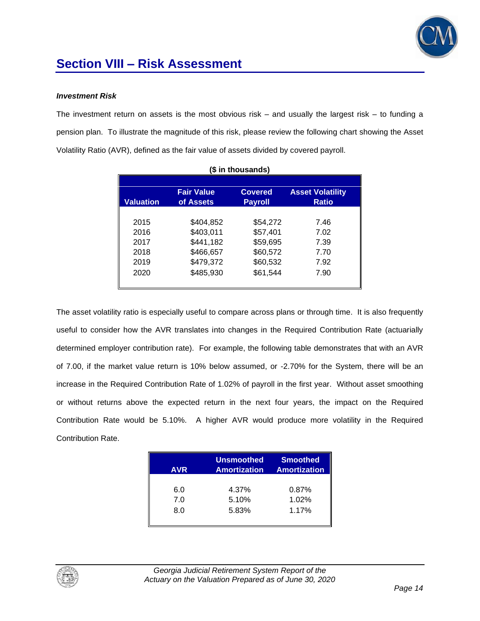

### *Investment Risk*

The investment return on assets is the most obvious risk  $-$  and usually the largest risk  $-$  to funding a pension plan. To illustrate the magnitude of this risk, please review the following chart showing the Asset Volatility Ratio (AVR), defined as the fair value of assets divided by covered payroll.

| (\$ in thousands) |                                |                                  |                                         |  |  |
|-------------------|--------------------------------|----------------------------------|-----------------------------------------|--|--|
| <b>Valuation</b>  | <b>Fair Value</b><br>of Assets | <b>Covered</b><br><b>Payroll</b> | <b>Asset Volatility</b><br><b>Ratio</b> |  |  |
| 2015              | \$404,852                      | \$54,272                         | 7.46                                    |  |  |
| 2016              | \$403,011                      | \$57,401                         | 7.02                                    |  |  |
| 2017              | \$441,182                      | \$59,695                         | 7.39                                    |  |  |
| 2018              | \$466,657                      | \$60,572                         | 7.70                                    |  |  |
| 2019              | \$479,372                      | \$60,532                         | 7.92                                    |  |  |
| 2020              | \$485,930                      | \$61,544                         | 7.90                                    |  |  |
|                   |                                |                                  |                                         |  |  |

The asset volatility ratio is especially useful to compare across plans or through time. It is also frequently useful to consider how the AVR translates into changes in the Required Contribution Rate (actuarially determined employer contribution rate). For example, the following table demonstrates that with an AVR of 7.00, if the market value return is 10% below assumed, or -2.70% for the System, there will be an increase in the Required Contribution Rate of 1.02% of payroll in the first year. Without asset smoothing or without returns above the expected return in the next four years, the impact on the Required Contribution Rate would be 5.10%. A higher AVR would produce more volatility in the Required Contribution Rate.

| <b>AVR</b> | <b>Unsmoothed</b><br><b>Amortization</b> | <b>Smoothed</b><br><b>Amortization</b> |
|------------|------------------------------------------|----------------------------------------|
| 6.0        | 4.37%                                    | 0.87%                                  |
| 7.0        | 5.10%                                    | 1.02%                                  |
| 8.0        | 5.83%                                    | 1.17%                                  |
|            |                                          |                                        |

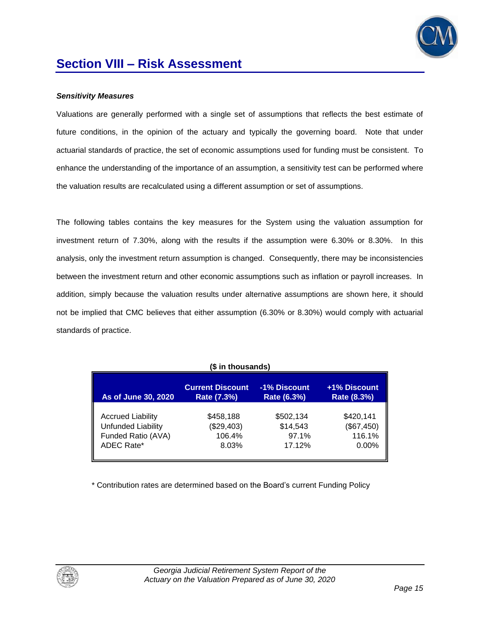

### *Sensitivity Measures*

Valuations are generally performed with a single set of assumptions that reflects the best estimate of future conditions, in the opinion of the actuary and typically the governing board. Note that under actuarial standards of practice, the set of economic assumptions used for funding must be consistent. To enhance the understanding of the importance of an assumption, a sensitivity test can be performed where the valuation results are recalculated using a different assumption or set of assumptions.

The following tables contains the key measures for the System using the valuation assumption for investment return of 7.30%, along with the results if the assumption were 6.30% or 8.30%. In this analysis, only the investment return assumption is changed. Consequently, there may be inconsistencies between the investment return and other economic assumptions such as inflation or payroll increases. In addition, simply because the valuation results under alternative assumptions are shown here, it should not be implied that CMC believes that either assumption (6.30% or 8.30%) would comply with actuarial standards of practice.

| (\$ in thousands)         |                         |              |              |  |  |
|---------------------------|-------------------------|--------------|--------------|--|--|
| As of June 30, 2020       | <b>Current Discount</b> | -1% Discount | +1% Discount |  |  |
|                           | Rate (7.3%)             | Rate (6.3%)  | Rate (8.3%)  |  |  |
| <b>Accrued Liability</b>  | \$458,188               | \$502,134    | \$420,141    |  |  |
| <b>Unfunded Liability</b> | (\$29,403)              | \$14,543     | (\$67,450)   |  |  |
| Funded Ratio (AVA)        | 106.4%                  | 97.1%        | 116.1%       |  |  |
| ADEC Rate*                | 8.03%                   | 17.12%       | $0.00\%$     |  |  |

\* Contribution rates are determined based on the Board's current Funding Policy

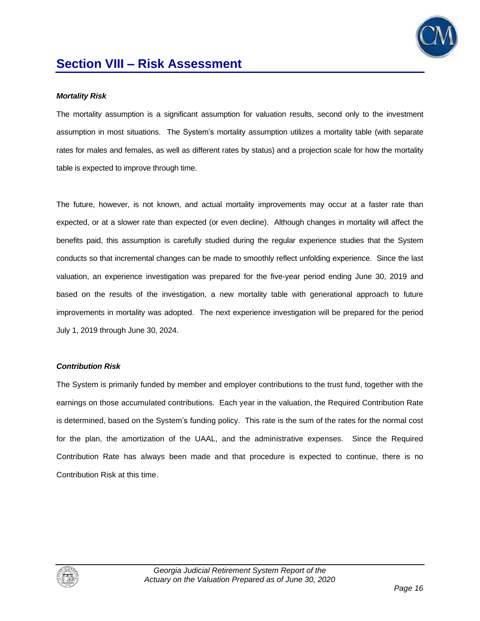

### *Mortality Risk*

The mortality assumption is a significant assumption for valuation results, second only to the investment assumption in most situations. The System's mortality assumption utilizes a mortality table (with separate rates for males and females, as well as different rates by status) and a projection scale for how the mortality table is expected to improve through time.

The future, however, is not known, and actual mortality improvements may occur at a faster rate than expected, or at a slower rate than expected (or even decline). Although changes in mortality will affect the benefits paid, this assumption is carefully studied during the regular experience studies that the System conducts so that incremental changes can be made to smoothly reflect unfolding experience. Since the last valuation, an experience investigation was prepared for the five-year period ending June 30, 2019 and based on the results of the investigation, a new mortality table with generational approach to future improvements in mortality was adopted. The next experience investigation will be prepared for the period July 1, 2019 through June 30, 2024.

### *Contribution Risk*

The System is primarily funded by member and employer contributions to the trust fund, together with the earnings on those accumulated contributions. Each year in the valuation, the Required Contribution Rate is determined, based on the System's funding policy. This rate is the sum of the rates for the normal cost for the plan, the amortization of the UAAL, and the administrative expenses. Since the Required Contribution Rate has always been made and that procedure is expected to continue, there is no Contribution Risk at this time.

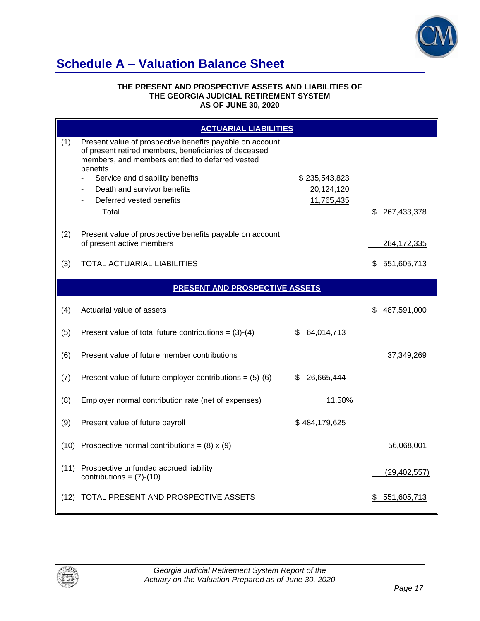

## **Schedule A – Valuation Balance Sheet**

#### **THE PRESENT AND PROSPECTIVE ASSETS AND LIABILITIES OF THE GEORGIA JUDICIAL RETIREMENT SYSTEM AS OF JUNE 30, 2020**

|      | <b>ACTUARIAL LIABILITIES</b>                                                                                                                                                                                                                                                             |                                           |                    |
|------|------------------------------------------------------------------------------------------------------------------------------------------------------------------------------------------------------------------------------------------------------------------------------------------|-------------------------------------------|--------------------|
| (1)  | Present value of prospective benefits payable on account<br>of present retired members, beneficiaries of deceased<br>members, and members entitled to deferred vested<br>benefits<br>Service and disability benefits<br>Death and survivor benefits<br>Deferred vested benefits<br>Total | \$235,543,823<br>20,124,120<br>11,765,435 | \$<br>267,433,378  |
| (2)  | Present value of prospective benefits payable on account<br>of present active members                                                                                                                                                                                                    |                                           | 284, 172, 335      |
| (3)  | TOTAL ACTUARIAL LIABILITIES                                                                                                                                                                                                                                                              |                                           | \$551,605,713      |
|      | <b>PRESENT AND PROSPECTIVE ASSETS</b>                                                                                                                                                                                                                                                    |                                           |                    |
| (4)  | Actuarial value of assets                                                                                                                                                                                                                                                                |                                           | \$.<br>487,591,000 |
| (5)  | Present value of total future contributions = $(3)-(4)$                                                                                                                                                                                                                                  | \$64,014,713                              |                    |
| (6)  | Present value of future member contributions                                                                                                                                                                                                                                             |                                           | 37,349,269         |
| (7)  | Present value of future employer contributions = $(5)-(6)$                                                                                                                                                                                                                               | 26,665,444<br>\$.                         |                    |
| (8)  | Employer normal contribution rate (net of expenses)                                                                                                                                                                                                                                      | 11.58%                                    |                    |
| (9)  | Present value of future payroll                                                                                                                                                                                                                                                          | \$484,179,625                             |                    |
| (10) | Prospective normal contributions = $(8) \times (9)$                                                                                                                                                                                                                                      |                                           | 56,068,001         |
| (11) | Prospective unfunded accrued liability<br>contributions = $(7)-(10)$                                                                                                                                                                                                                     |                                           | (29, 402, 557)     |
| (12) | TOTAL PRESENT AND PROSPECTIVE ASSETS                                                                                                                                                                                                                                                     |                                           | \$551,605,713      |

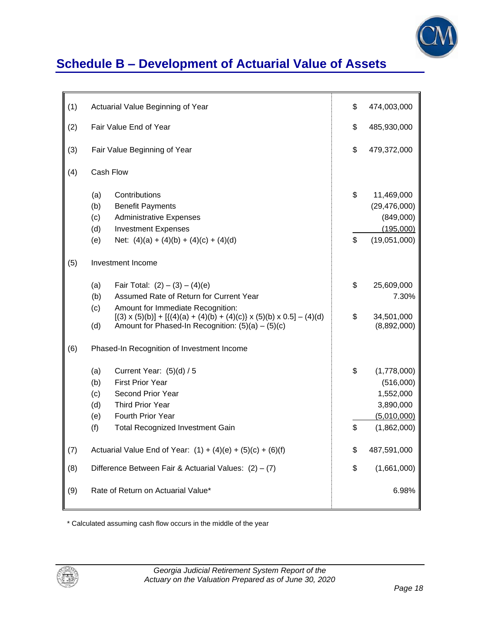

# **Schedule B – Development of Actuarial Value of Assets**

| (1) | Actuarial Value Beginning of Year                                                                                                                                                                               | \$       | 474,003,000                                                                      |
|-----|-----------------------------------------------------------------------------------------------------------------------------------------------------------------------------------------------------------------|----------|----------------------------------------------------------------------------------|
| (2) | Fair Value End of Year                                                                                                                                                                                          | \$       | 485,930,000                                                                      |
| (3) | Fair Value Beginning of Year                                                                                                                                                                                    | \$       | 479,372,000                                                                      |
| (4) | Cash Flow                                                                                                                                                                                                       |          |                                                                                  |
|     | Contributions<br>(a)<br>(b)<br><b>Benefit Payments</b><br>(c)<br><b>Administrative Expenses</b><br>(d)<br><b>Investment Expenses</b>                                                                            | \$       | 11,469,000<br>(29, 476, 000)<br>(849,000)<br>(195,000)                           |
|     | (e)<br>Net: $(4)(a) + (4)(b) + (4)(c) + (4)(d)$                                                                                                                                                                 | \$       | (19,051,000)                                                                     |
| (5) | Investment Income                                                                                                                                                                                               |          |                                                                                  |
|     | Fair Total: $(2) - (3) - (4)(e)$<br>(a)                                                                                                                                                                         | \$       | 25,609,000                                                                       |
|     | Assumed Rate of Return for Current Year<br>(b)                                                                                                                                                                  |          | 7.30%                                                                            |
|     | (c)<br>Amount for Immediate Recognition:<br>$[(3) \times (5)(b)] + [ {(4)(a) + (4)(b) + (4)(c)} \times (5)(b) \times 0.5] - (4)(d)$<br>Amount for Phased-In Recognition: $(5)(a) - (5)(c)$<br>(d)               | \$       | 34,501,000<br>(8,892,000)                                                        |
| (6) | Phased-In Recognition of Investment Income                                                                                                                                                                      |          |                                                                                  |
|     | (a)<br>Current Year: $(5)(d) / 5$<br><b>First Prior Year</b><br>(b)<br>(c)<br>Second Prior Year<br>(d)<br><b>Third Prior Year</b><br>(e)<br>Fourth Prior Year<br>(f)<br><b>Total Recognized Investment Gain</b> | \$<br>\$ | (1,778,000)<br>(516,000)<br>1,552,000<br>3,890,000<br>(5,010,000)<br>(1,862,000) |
| (7) | Actuarial Value End of Year: $(1) + (4)(e) + (5)(c) + (6)(f)$                                                                                                                                                   |          | 487,591,000                                                                      |
| (8) | Difference Between Fair & Actuarial Values: $(2) - (7)$                                                                                                                                                         |          | (1,661,000)                                                                      |
| (9) | Rate of Return on Actuarial Value*                                                                                                                                                                              |          | 6.98%                                                                            |

\* Calculated assuming cash flow occurs in the middle of the year

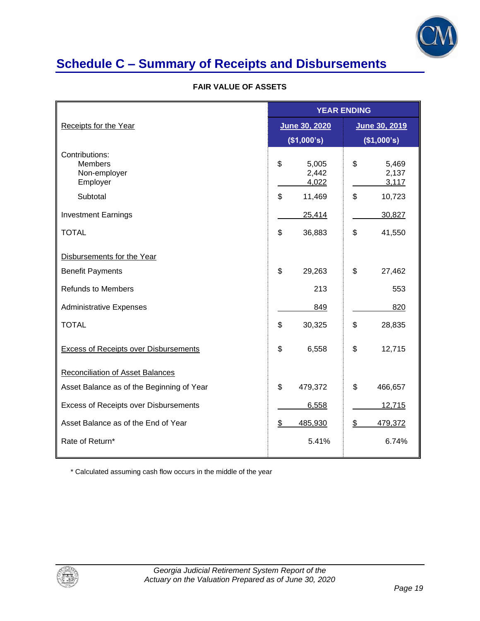

# **Schedule C – Summary of Receipts and Disbursements**

### **FAIR VALUE OF ASSETS**

|                                                              |                               | <b>YEAR ENDING</b> |                         |  |  |
|--------------------------------------------------------------|-------------------------------|--------------------|-------------------------|--|--|
| Receipts for the Year                                        | June 30, 2020                 |                    | June 30, 2019           |  |  |
|                                                              | (\$1,000's)                   |                    | (\$1,000's)             |  |  |
| Contributions:<br><b>Members</b><br>Non-employer<br>Employer | \$<br>5,005<br>2,442<br>4,022 | \$                 | 5,469<br>2,137<br>3,117 |  |  |
| Subtotal                                                     | \$<br>11,469                  | \$                 | 10,723                  |  |  |
| <b>Investment Earnings</b>                                   | 25,414                        |                    | 30,827                  |  |  |
| <b>TOTAL</b>                                                 | \$<br>36,883                  | \$                 | 41,550                  |  |  |
| Disbursements for the Year                                   |                               |                    |                         |  |  |
| <b>Benefit Payments</b>                                      | \$<br>29,263                  | \$                 | 27,462                  |  |  |
| <b>Refunds to Members</b>                                    | 213                           |                    | 553                     |  |  |
| <b>Administrative Expenses</b>                               | 849                           |                    | 820                     |  |  |
| <b>TOTAL</b>                                                 | \$<br>30,325                  | \$                 | 28,835                  |  |  |
| <b>Excess of Receipts over Disbursements</b>                 | \$<br>6,558                   | \$                 | 12,715                  |  |  |
| Reconciliation of Asset Balances                             |                               |                    |                         |  |  |
| Asset Balance as of the Beginning of Year                    | \$<br>479,372                 | \$                 | 466,657                 |  |  |
| <b>Excess of Receipts over Disbursements</b>                 | 6,558                         |                    | 12,715                  |  |  |
| Asset Balance as of the End of Year                          | 485,930<br>\$                 | \$                 | 479,372                 |  |  |
| Rate of Return*                                              | 5.41%                         |                    | 6.74%                   |  |  |

\* Calculated assuming cash flow occurs in the middle of the year

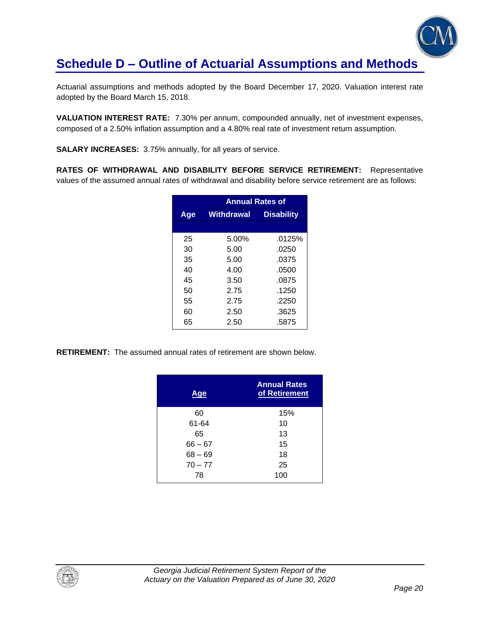

## **Schedule D – Outline of Actuarial Assumptions and Methods**

Actuarial assumptions and methods adopted by the Board December 17, 2020. Valuation interest rate adopted by the Board March 15, 2018.

**VALUATION INTEREST RATE:** 7.30% per annum, compounded annually, net of investment expenses, composed of a 2.50% inflation assumption and a 4.80% real rate of investment return assumption.

**SALARY INCREASES:** 3.75% annually, for all years of service.

**RATES OF WITHDRAWAL AND DISABILITY BEFORE SERVICE RETIREMENT:** Representative values of the assumed annual rates of withdrawal and disability before service retirement are as follows:

|     | <b>Annual Rates of</b> |                   |  |  |  |
|-----|------------------------|-------------------|--|--|--|
| Age | <b>Withdrawal</b>      | <b>Disability</b> |  |  |  |
|     |                        |                   |  |  |  |
| 25  | 5.00%                  | .0125%            |  |  |  |
| 30  | 5.00                   | .0250             |  |  |  |
| 35  | 5.00                   | .0375             |  |  |  |
| 40  | 4.00                   | .0500             |  |  |  |
| 45  | 3.50                   | .0875             |  |  |  |
| 50  | 2.75                   | .1250             |  |  |  |
| 55  | 2.75                   | .2250             |  |  |  |
| 60  | 2.50                   | .3625             |  |  |  |
| 65  | 2.50                   | .5875             |  |  |  |

**RETIREMENT:** The assumed annual rates of retirement are shown below.

| <u>Age</u> | <b>Annual Rates</b><br>of Retirement |
|------------|--------------------------------------|
| 60         | 15%                                  |
| 61-64      | 10                                   |
| 65         | 13                                   |
| $66 - 67$  | 15                                   |
| $68 - 69$  | 18                                   |
| $70 - 77$  | 25                                   |
| 78         | 100                                  |

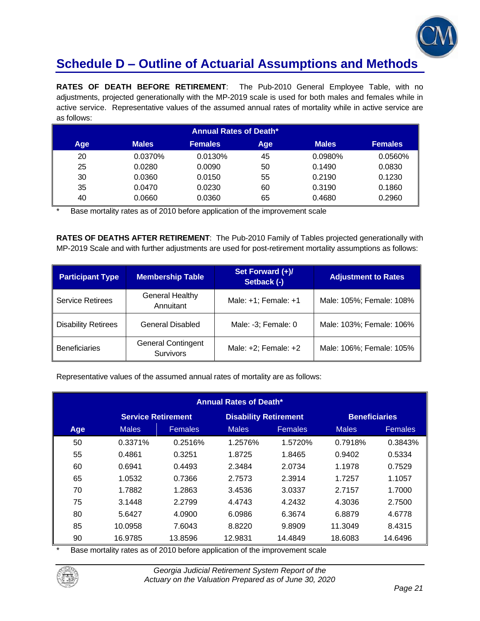

## **Schedule D – Outline of Actuarial Assumptions and Methods**

**RATES OF DEATH BEFORE RETIREMENT**: The Pub-2010 General Employee Table, with no adjustments, projected generationally with the MP-2019 scale is used for both males and females while in active service. Representative values of the assumed annual rates of mortality while in active service are as follows:

| <b>Annual Rates of Death*</b> |              |                |     |              |                |  |
|-------------------------------|--------------|----------------|-----|--------------|----------------|--|
| Age                           | <b>Males</b> | <b>Females</b> | Age | <b>Males</b> | <b>Females</b> |  |
| 20                            | 0.0370%      | 0.0130%        | 45  | 0.0980%      | 0.0560%        |  |
| 25                            | 0.0280       | 0.0090         | 50  | 0.1490       | 0.0830         |  |
| 30                            | 0.0360       | 0.0150         | 55  | 0.2190       | 0.1230         |  |
| 35                            | 0.0470       | 0.0230         | 60  | 0.3190       | 0.1860         |  |
| 40                            | 0.0660       | 0.0360         | 65  | 0.4680       | 0.2960         |  |

Base mortality rates as of 2010 before application of the improvement scale

**RATES OF DEATHS AFTER RETIREMENT**: The Pub-2010 Family of Tables projected generationally with MP-2019 Scale and with further adjustments are used for post-retirement mortality assumptions as follows:

| <b>Participant Type</b>    | <b>Membership Table</b>                       | Set Forward (+)/<br>Setback (-) | <b>Adjustment to Rates</b> |
|----------------------------|-----------------------------------------------|---------------------------------|----------------------------|
| <b>Service Retirees</b>    | <b>General Healthy</b><br>Annuitant           | Male: +1; Female: +1            | Male: 105%; Female: 108%   |
| <b>Disability Retirees</b> | <b>General Disabled</b>                       | Male: -3; Female: 0             | Male: 103%; Female: 106%   |
| <b>Beneficiaries</b>       | <b>General Contingent</b><br><b>Survivors</b> | Male: $+2$ ; Female: $+2$       | Male: 106%; Female: 105%   |

Representative values of the assumed annual rates of mortality are as follows:

| <b>Annual Rates of Death*</b>                                                     |              |                |              |                |              |                |
|-----------------------------------------------------------------------------------|--------------|----------------|--------------|----------------|--------------|----------------|
| <b>Service Retirement</b><br><b>Disability Retirement</b><br><b>Beneficiaries</b> |              |                |              |                |              |                |
| Age                                                                               | <b>Males</b> | <b>Females</b> | <b>Males</b> | <b>Females</b> | <b>Males</b> | <b>Females</b> |
| 50                                                                                | 0.3371%      | 0.2516%        | 1.2576%      | 1.5720%        | 0.7918%      | 0.3843%        |
| 55                                                                                | 0.4861       | 0.3251         | 1.8725       | 1.8465         | 0.9402       | 0.5334         |
| 60                                                                                | 0.6941       | 0.4493         | 2.3484       | 2.0734         | 1.1978       | 0.7529         |
| 65                                                                                | 1.0532       | 0.7366         | 2.7573       | 2.3914         | 1.7257       | 1.1057         |
| 70                                                                                | 1.7882       | 1.2863         | 3.4536       | 3.0337         | 2.7157       | 1.7000         |
| 75                                                                                | 3.1448       | 2.2799         | 4.4743       | 4.2432         | 4.3036       | 2.7500         |
| 80                                                                                | 5.6427       | 4.0900         | 6.0986       | 6.3674         | 6.8879       | 4.6778         |
| 85                                                                                | 10.0958      | 7.6043         | 8.8220       | 9.8909         | 11.3049      | 8.4315         |
| 90                                                                                | 16.9785      | 13.8596        | 12.9831      | 14.4849        | 18.6083      | 14.6496        |

Base mortality rates as of 2010 before application of the improvement scale

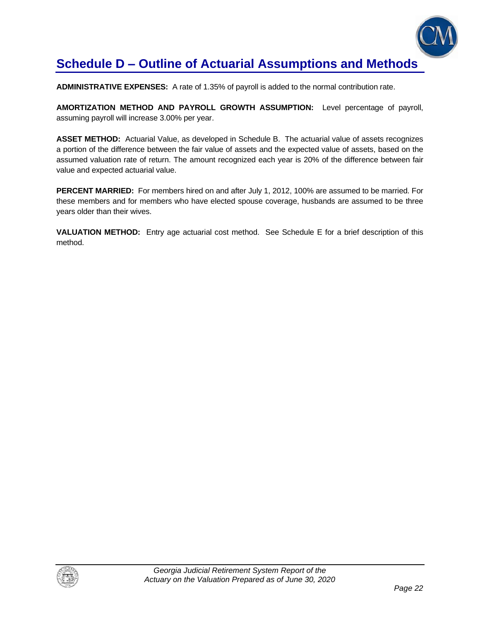

## **Schedule D – Outline of Actuarial Assumptions and Methods**

**ADMINISTRATIVE EXPENSES:** A rate of 1.35% of payroll is added to the normal contribution rate.

**AMORTIZATION METHOD AND PAYROLL GROWTH ASSUMPTION:** Level percentage of payroll, assuming payroll will increase 3.00% per year.

**ASSET METHOD:** Actuarial Value, as developed in Schedule B. The actuarial value of assets recognizes a portion of the difference between the fair value of assets and the expected value of assets, based on the assumed valuation rate of return. The amount recognized each year is 20% of the difference between fair value and expected actuarial value.

**PERCENT MARRIED:** For members hired on and after July 1, 2012, 100% are assumed to be married. For these members and for members who have elected spouse coverage, husbands are assumed to be three years older than their wives.

**VALUATION METHOD:** Entry age actuarial cost method. See Schedule E for a brief description of this method.

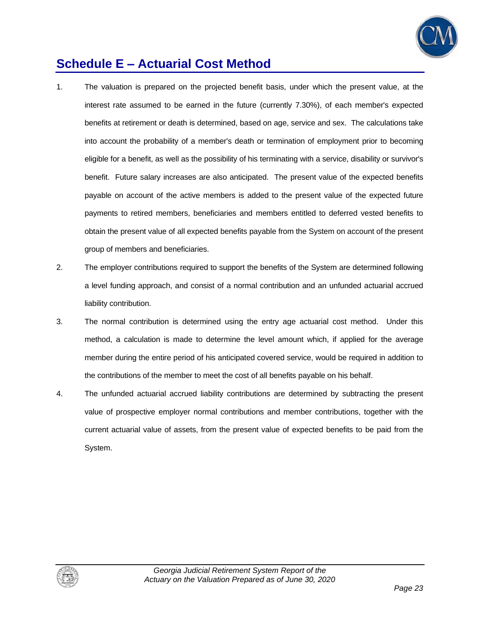

## **Schedule E – Actuarial Cost Method**

- 1. The valuation is prepared on the projected benefit basis, under which the present value, at the interest rate assumed to be earned in the future (currently 7.30%), of each member's expected benefits at retirement or death is determined, based on age, service and sex. The calculations take into account the probability of a member's death or termination of employment prior to becoming eligible for a benefit, as well as the possibility of his terminating with a service, disability or survivor's benefit. Future salary increases are also anticipated. The present value of the expected benefits payable on account of the active members is added to the present value of the expected future payments to retired members, beneficiaries and members entitled to deferred vested benefits to obtain the present value of all expected benefits payable from the System on account of the present group of members and beneficiaries.
- 2. The employer contributions required to support the benefits of the System are determined following a level funding approach, and consist of a normal contribution and an unfunded actuarial accrued liability contribution.
- 3. The normal contribution is determined using the entry age actuarial cost method. Under this method, a calculation is made to determine the level amount which, if applied for the average member during the entire period of his anticipated covered service, would be required in addition to the contributions of the member to meet the cost of all benefits payable on his behalf.
- 4. The unfunded actuarial accrued liability contributions are determined by subtracting the present value of prospective employer normal contributions and member contributions, together with the current actuarial value of assets, from the present value of expected benefits to be paid from the System.

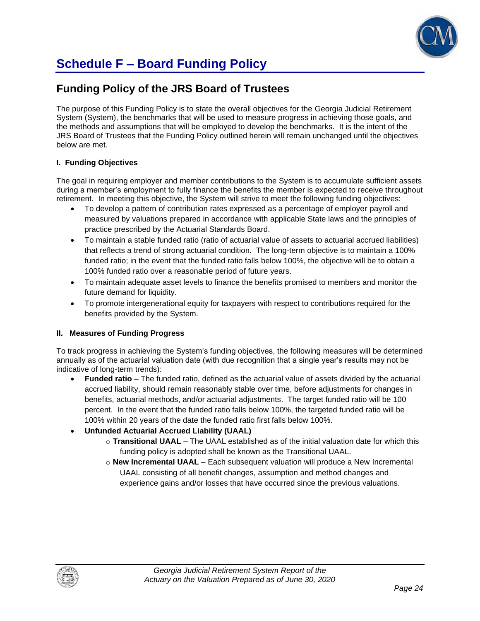

## **Schedule F – Board Funding Policy**

### **Funding Policy of the JRS Board of Trustees**

The purpose of this Funding Policy is to state the overall objectives for the Georgia Judicial Retirement System (System), the benchmarks that will be used to measure progress in achieving those goals, and the methods and assumptions that will be employed to develop the benchmarks. It is the intent of the JRS Board of Trustees that the Funding Policy outlined herein will remain unchanged until the objectives below are met.

### **I. Funding Objectives**

The goal in requiring employer and member contributions to the System is to accumulate sufficient assets during a member's employment to fully finance the benefits the member is expected to receive throughout retirement. In meeting this objective, the System will strive to meet the following funding objectives:

- To develop a pattern of contribution rates expressed as a percentage of employer payroll and measured by valuations prepared in accordance with applicable State laws and the principles of practice prescribed by the Actuarial Standards Board.
- To maintain a stable funded ratio (ratio of actuarial value of assets to actuarial accrued liabilities) that reflects a trend of strong actuarial condition. The long-term objective is to maintain a 100% funded ratio; in the event that the funded ratio falls below 100%, the objective will be to obtain a 100% funded ratio over a reasonable period of future years.
- To maintain adequate asset levels to finance the benefits promised to members and monitor the future demand for liquidity.
- To promote intergenerational equity for taxpayers with respect to contributions required for the benefits provided by the System.

### **II. Measures of Funding Progress**

To track progress in achieving the System's funding objectives, the following measures will be determined annually as of the actuarial valuation date (with due recognition that a single year's results may not be indicative of long-term trends):

- **Funded ratio** The funded ratio, defined as the actuarial value of assets divided by the actuarial accrued liability, should remain reasonably stable over time, before adjustments for changes in benefits, actuarial methods, and/or actuarial adjustments. The target funded ratio will be 100 percent. In the event that the funded ratio falls below 100%, the targeted funded ratio will be 100% within 20 years of the date the funded ratio first falls below 100%.
- **Unfunded Actuarial Accrued Liability (UAAL)**
	- o **Transitional UAAL** The UAAL established as of the initial valuation date for which this funding policy is adopted shall be known as the Transitional UAAL.
	- o **New Incremental UAAL** Each subsequent valuation will produce a New Incremental UAAL consisting of all benefit changes, assumption and method changes and experience gains and/or losses that have occurred since the previous valuations.

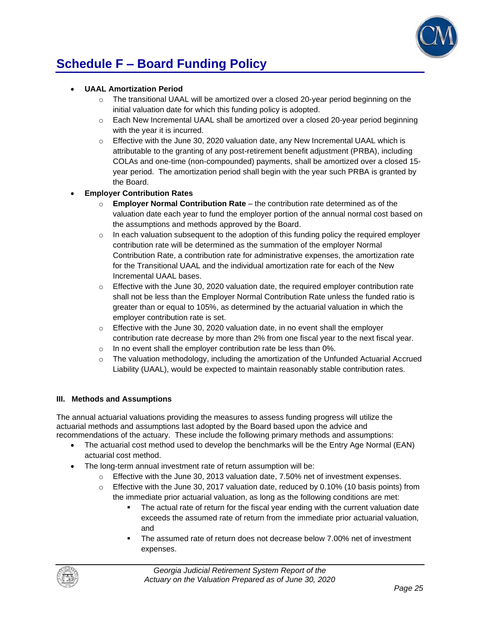

## **Schedule F – Board Funding Policy**

### • **UAAL Amortization Period**

- $\circ$  The transitional UAAL will be amortized over a closed 20-year period beginning on the initial valuation date for which this funding policy is adopted.
- $\circ$  Each New Incremental UAAL shall be amortized over a closed 20-year period beginning with the year it is incurred.
- $\circ$  Effective with the June 30, 2020 valuation date, any New Incremental UAAL which is attributable to the granting of any post-retirement benefit adjustment (PRBA), including COLAs and one-time (non-compounded) payments, shall be amortized over a closed 15 year period. The amortization period shall begin with the year such PRBA is granted by the Board.

### • **Employer Contribution Rates**

- o **Employer Normal Contribution Rate**  the contribution rate determined as of the valuation date each year to fund the employer portion of the annual normal cost based on the assumptions and methods approved by the Board.
- $\circ$  In each valuation subsequent to the adoption of this funding policy the required employer contribution rate will be determined as the summation of the employer Normal Contribution Rate, a contribution rate for administrative expenses, the amortization rate for the Transitional UAAL and the individual amortization rate for each of the New Incremental UAAL bases.
- $\circ$  Effective with the June 30, 2020 valuation date, the required employer contribution rate shall not be less than the Employer Normal Contribution Rate unless the funded ratio is greater than or equal to 105%, as determined by the actuarial valuation in which the employer contribution rate is set.
- o Effective with the June 30, 2020 valuation date, in no event shall the employer contribution rate decrease by more than 2% from one fiscal year to the next fiscal year.
- o In no event shall the employer contribution rate be less than 0%.
- $\circ$  The valuation methodology, including the amortization of the Unfunded Actuarial Accrued Liability (UAAL), would be expected to maintain reasonably stable contribution rates.

### **III. Methods and Assumptions**

The annual actuarial valuations providing the measures to assess funding progress will utilize the actuarial methods and assumptions last adopted by the Board based upon the advice and recommendations of the actuary. These include the following primary methods and assumptions:

- The actuarial cost method used to develop the benchmarks will be the Entry Age Normal (EAN) actuarial cost method.
- The long-term annual investment rate of return assumption will be:
	- $\circ$  Effective with the June 30, 2013 valuation date, 7.50% net of investment expenses.
	- $\circ$  Effective with the June 30, 2017 valuation date, reduced by 0.10% (10 basis points) from the immediate prior actuarial valuation, as long as the following conditions are met:
		- The actual rate of return for the fiscal year ending with the current valuation date exceeds the assumed rate of return from the immediate prior actuarial valuation, and
		- The assumed rate of return does not decrease below 7.00% net of investment expenses.

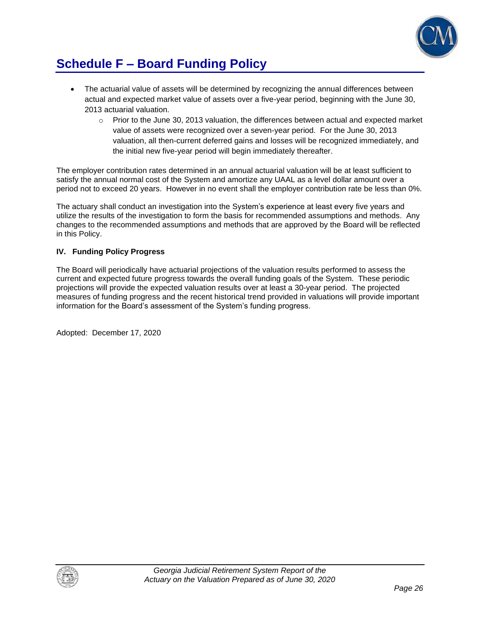

## **Schedule F – Board Funding Policy**

- The actuarial value of assets will be determined by recognizing the annual differences between actual and expected market value of assets over a five-year period, beginning with the June 30, 2013 actuarial valuation.
	- $\circ$  Prior to the June 30, 2013 valuation, the differences between actual and expected market value of assets were recognized over a seven-year period. For the June 30, 2013 valuation, all then-current deferred gains and losses will be recognized immediately, and the initial new five-year period will begin immediately thereafter.

The employer contribution rates determined in an annual actuarial valuation will be at least sufficient to satisfy the annual normal cost of the System and amortize any UAAL as a level dollar amount over a period not to exceed 20 years. However in no event shall the employer contribution rate be less than 0%.

The actuary shall conduct an investigation into the System's experience at least every five years and utilize the results of the investigation to form the basis for recommended assumptions and methods. Any changes to the recommended assumptions and methods that are approved by the Board will be reflected in this Policy.

### **IV. Funding Policy Progress**

The Board will periodically have actuarial projections of the valuation results performed to assess the current and expected future progress towards the overall funding goals of the System. These periodic projections will provide the expected valuation results over at least a 30-year period. The projected measures of funding progress and the recent historical trend provided in valuations will provide important information for the Board's assessment of the System's funding progress.

Adopted: December 17, 2020

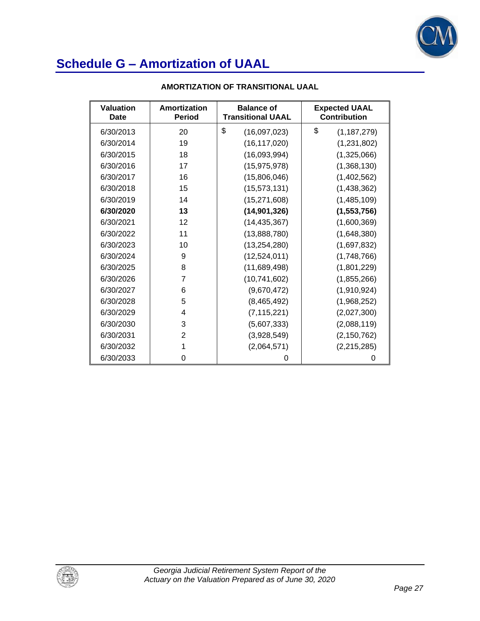

| <b>Valuation</b><br>Date | Amortization<br><b>Period</b> | <b>Balance of</b><br><b>Transitional UAAL</b> | <b>Expected UAAL</b><br><b>Contribution</b> |
|--------------------------|-------------------------------|-----------------------------------------------|---------------------------------------------|
| 6/30/2013                | 20                            | \$<br>(16,097,023)                            | \$<br>(1, 187, 279)                         |
| 6/30/2014                | 19                            | (16, 117, 020)                                | (1,231,802)                                 |
| 6/30/2015                | 18                            | (16,093,994)                                  | (1,325,066)                                 |
| 6/30/2016                | 17                            | (15, 975, 978)                                | (1,368,130)                                 |
| 6/30/2017                | 16                            | (15,806,046)                                  | (1,402,562)                                 |
| 6/30/2018                | 15                            | (15, 573, 131)                                | (1,438,362)                                 |
| 6/30/2019                | 14                            | (15, 271, 608)                                | (1,485,109)                                 |
| 6/30/2020                | 13                            | (14, 901, 326)                                | (1, 553, 756)                               |
| 6/30/2021                | 12                            | (14, 435, 367)                                | (1,600,369)                                 |
| 6/30/2022                | 11                            | (13,888,780)                                  | (1,648,380)                                 |
| 6/30/2023                | 10                            | (13, 254, 280)                                | (1,697,832)                                 |
| 6/30/2024                | 9                             | (12,524,011)                                  | (1,748,766)                                 |
| 6/30/2025                | 8                             | (11,689,498)                                  | (1,801,229)                                 |
| 6/30/2026                | 7                             | (10, 741, 602)                                | (1,855,266)                                 |
| 6/30/2027                | 6                             | (9,670,472)                                   | (1,910,924)                                 |
| 6/30/2028                | 5                             | (8,465,492)                                   | (1,968,252)                                 |
| 6/30/2029                | 4                             | (7, 115, 221)                                 | (2,027,300)                                 |
| 6/30/2030                | 3                             | (5,607,333)                                   | (2,088,119)                                 |
| 6/30/2031                | $\overline{2}$                | (3,928,549)                                   | (2, 150, 762)                               |
| 6/30/2032                | 1                             | (2,064,571)                                   | (2, 215, 285)                               |
| 6/30/2033                | 0                             | 0                                             | 0                                           |

### **AMORTIZATION OF TRANSITIONAL UAAL**

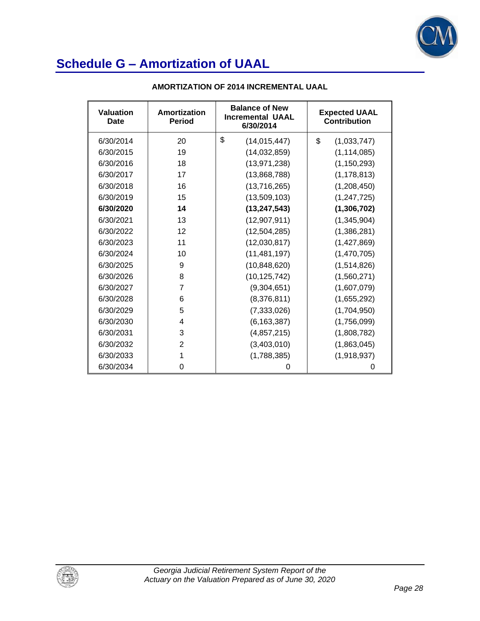

| <b>Valuation</b><br>Date | Amortization<br><b>Period</b> | <b>Balance of New</b><br><b>Incremental UAAL</b><br>6/30/2014 | <b>Expected UAAL</b><br><b>Contribution</b> |
|--------------------------|-------------------------------|---------------------------------------------------------------|---------------------------------------------|
| 6/30/2014                | 20                            | \$<br>(14, 015, 447)                                          | \$<br>(1,033,747)                           |
| 6/30/2015                | 19                            | (14,032,859)                                                  | (1, 114, 085)                               |
| 6/30/2016                | 18                            | (13, 971, 238)                                                | (1, 150, 293)                               |
| 6/30/2017                | 17                            | (13,868,788)                                                  | (1, 178, 813)                               |
| 6/30/2018                | 16                            | (13,716,265)                                                  | (1,208,450)                                 |
| 6/30/2019                | 15                            | (13,509,103)                                                  | (1, 247, 725)                               |
| 6/30/2020                | 14                            | (13, 247, 543)                                                | (1,306,702)                                 |
| 6/30/2021                | 13                            | (12,907,911)                                                  | (1,345,904)                                 |
| 6/30/2022                | 12                            | (12, 504, 285)                                                | (1,386,281)                                 |
| 6/30/2023                | 11                            | (12,030,817)                                                  | (1,427,869)                                 |
| 6/30/2024                | 10                            | (11, 481, 197)                                                | (1,470,705)                                 |
| 6/30/2025                | 9                             | (10, 848, 620)                                                | (1,514,826)                                 |
| 6/30/2026                | 8                             | (10, 125, 742)                                                | (1,560,271)                                 |
| 6/30/2027                | 7                             | (9,304,651)                                                   | (1,607,079)                                 |
| 6/30/2028                | 6                             | (8,376,811)                                                   | (1,655,292)                                 |
| 6/30/2029                | 5                             | (7, 333, 026)                                                 | (1,704,950)                                 |
| 6/30/2030                | 4                             | (6, 163, 387)                                                 | (1,756,099)                                 |
| 6/30/2031                | 3                             | (4,857,215)                                                   | (1,808,782)                                 |
| 6/30/2032                | $\mathfrak{p}$                | (3,403,010)                                                   | (1,863,045)                                 |
| 6/30/2033                | 1                             | (1,788,385)                                                   | (1,918,937)                                 |
| 6/30/2034                | 0                             | Ω                                                             | O                                           |

### **AMORTIZATION OF 2014 INCREMENTAL UAAL**

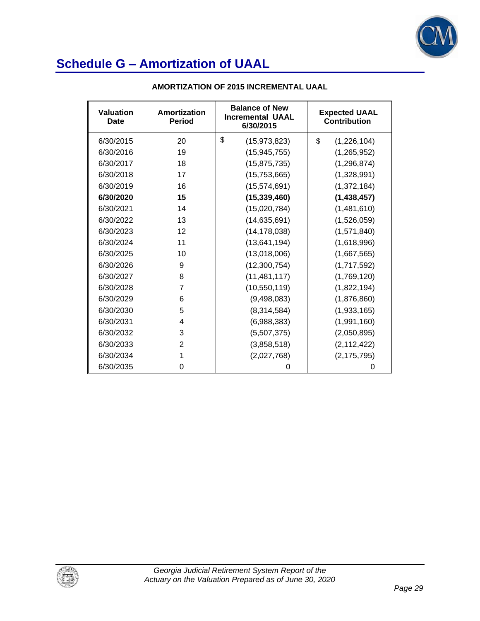

| <b>Valuation</b><br>Date | Amortization<br><b>Period</b> | <b>Balance of New</b><br><b>Incremental UAAL</b><br>6/30/2015 | <b>Expected UAAL</b><br><b>Contribution</b> |
|--------------------------|-------------------------------|---------------------------------------------------------------|---------------------------------------------|
| 6/30/2015                | 20                            | \$<br>(15, 973, 823)                                          | \$<br>(1,226,104)                           |
| 6/30/2016                | 19                            | (15, 945, 755)                                                | (1, 265, 952)                               |
| 6/30/2017                | 18                            | (15, 875, 735)                                                | (1, 296, 874)                               |
| 6/30/2018                | 17                            | (15,753,665)                                                  | (1,328,991)                                 |
| 6/30/2019                | 16                            | (15, 574, 691)                                                | (1,372,184)                                 |
| 6/30/2020                | 15                            | (15, 339, 460)                                                | (1,438,457)                                 |
| 6/30/2021                | 14                            | (15,020,784)                                                  | (1,481,610)                                 |
| 6/30/2022                | 13                            | (14, 635, 691)                                                | (1,526,059)                                 |
| 6/30/2023                | 12                            | (14, 178, 038)                                                | (1,571,840)                                 |
| 6/30/2024                | 11                            | (13,641,194)                                                  | (1,618,996)                                 |
| 6/30/2025                | 10                            | (13,018,006)                                                  | (1,667,565)                                 |
| 6/30/2026                | 9                             | (12,300,754)                                                  | (1,717,592)                                 |
| 6/30/2027                | 8                             | (11, 481, 117)                                                | (1,769,120)                                 |
| 6/30/2028                | 7                             | (10, 550, 119)                                                | (1,822,194)                                 |
| 6/30/2029                | 6                             | (9,498,083)                                                   | (1,876,860)                                 |
| 6/30/2030                | 5                             | (8,314,584)                                                   | (1,933,165)                                 |
| 6/30/2031                | 4                             | (6,988,383)                                                   | (1,991,160)                                 |
| 6/30/2032                | 3                             | (5,507,375)                                                   | (2,050,895)                                 |
| 6/30/2033                | $\overline{2}$                | (3,858,518)                                                   | (2, 112, 422)                               |
| 6/30/2034                | 1                             | (2,027,768)                                                   | (2, 175, 795)                               |
| 6/30/2035                | 0                             | Ω                                                             | 0                                           |

### **AMORTIZATION OF 2015 INCREMENTAL UAAL**

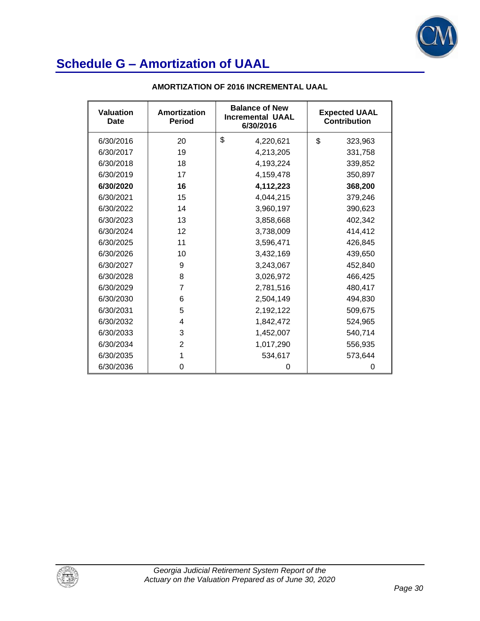

| <b>Valuation</b><br>Date | Amortization<br><b>Period</b> | <b>Balance of New</b><br><b>Incremental UAAL</b><br>6/30/2016 | <b>Expected UAAL</b><br><b>Contribution</b> |
|--------------------------|-------------------------------|---------------------------------------------------------------|---------------------------------------------|
| 6/30/2016                | 20                            | \$<br>4,220,621                                               | \$<br>323,963                               |
| 6/30/2017                | 19                            | 4,213,205                                                     | 331,758                                     |
| 6/30/2018                | 18                            | 4,193,224                                                     | 339,852                                     |
| 6/30/2019                | 17                            | 4,159,478                                                     | 350,897                                     |
| 6/30/2020                | 16                            | 4,112,223                                                     | 368,200                                     |
| 6/30/2021                | 15                            | 4,044,215                                                     | 379,246                                     |
| 6/30/2022                | 14                            | 3,960,197                                                     | 390,623                                     |
| 6/30/2023                | 13                            | 3,858,668                                                     | 402,342                                     |
| 6/30/2024                | 12                            | 3,738,009                                                     | 414,412                                     |
| 6/30/2025                | 11                            | 3,596,471                                                     | 426,845                                     |
| 6/30/2026                | 10                            | 3,432,169                                                     | 439,650                                     |
| 6/30/2027                | 9                             | 3,243,067                                                     | 452,840                                     |
| 6/30/2028                | 8                             | 3,026,972                                                     | 466,425                                     |
| 6/30/2029                | 7                             | 2,781,516                                                     | 480,417                                     |
| 6/30/2030                | 6                             | 2,504,149                                                     | 494,830                                     |
| 6/30/2031                | 5                             | 2,192,122                                                     | 509,675                                     |
| 6/30/2032                | 4                             | 1,842,472                                                     | 524,965                                     |
| 6/30/2033                | 3                             | 1,452,007                                                     | 540,714                                     |
| 6/30/2034                | $\overline{2}$                | 1,017,290                                                     | 556,935                                     |
| 6/30/2035                | 1                             | 534,617                                                       | 573,644                                     |
| 6/30/2036                | 0                             | 0                                                             | 0                                           |

### **AMORTIZATION OF 2016 INCREMENTAL UAAL**

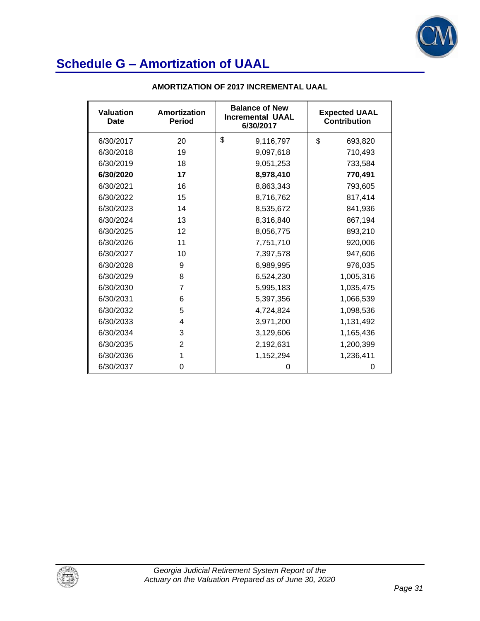

| <b>Valuation</b><br>Date | Amortization<br><b>Period</b> | <b>Balance of New</b><br><b>Incremental UAAL</b><br>6/30/2017 | <b>Expected UAAL</b><br><b>Contribution</b> |
|--------------------------|-------------------------------|---------------------------------------------------------------|---------------------------------------------|
| 6/30/2017                | 20                            | \$<br>9,116,797                                               | \$<br>693,820                               |
| 6/30/2018                | 19                            | 9,097,618                                                     | 710,493                                     |
| 6/30/2019                | 18                            | 9,051,253                                                     | 733,584                                     |
| 6/30/2020                | 17                            | 8,978,410                                                     | 770,491                                     |
| 6/30/2021                | 16                            | 8,863,343                                                     | 793,605                                     |
| 6/30/2022                | 15                            | 8,716,762                                                     | 817,414                                     |
| 6/30/2023                | 14                            | 8,535,672                                                     | 841,936                                     |
| 6/30/2024                | 13                            | 8,316,840                                                     | 867,194                                     |
| 6/30/2025                | 12                            | 8,056,775                                                     | 893,210                                     |
| 6/30/2026                | 11                            | 7,751,710                                                     | 920,006                                     |
| 6/30/2027                | 10                            | 7,397,578                                                     | 947,606                                     |
| 6/30/2028                | 9                             | 6,989,995                                                     | 976,035                                     |
| 6/30/2029                | 8                             | 6,524,230                                                     | 1,005,316                                   |
| 6/30/2030                | 7                             | 5,995,183                                                     | 1,035,475                                   |
| 6/30/2031                | 6                             | 5,397,356                                                     | 1,066,539                                   |
| 6/30/2032                | 5                             | 4,724,824                                                     | 1,098,536                                   |
| 6/30/2033                | 4                             | 3,971,200                                                     | 1,131,492                                   |
| 6/30/2034                | 3                             | 3,129,606                                                     | 1,165,436                                   |
| 6/30/2035                | 2                             | 2,192,631                                                     | 1,200,399                                   |
| 6/30/2036                | 1                             | 1,152,294                                                     | 1,236,411                                   |
| 6/30/2037                | 0                             | 0                                                             | 0                                           |

### **AMORTIZATION OF 2017 INCREMENTAL UAAL**

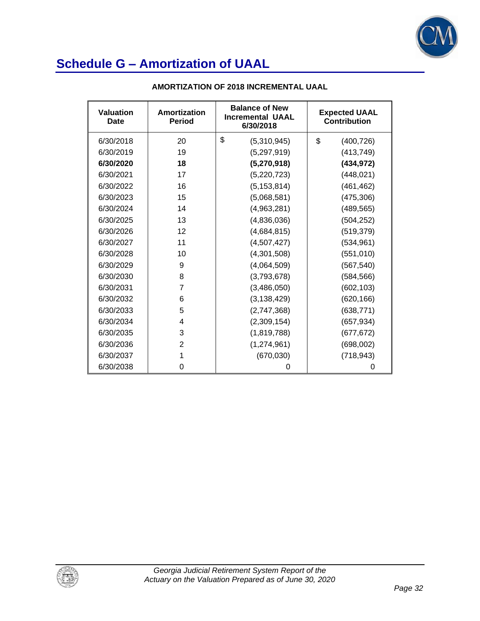

| <b>Valuation</b><br>Date | Amortization<br><b>Period</b> | <b>Balance of New</b><br><b>Incremental UAAL</b><br>6/30/2018 | <b>Expected UAAL</b><br><b>Contribution</b> |
|--------------------------|-------------------------------|---------------------------------------------------------------|---------------------------------------------|
| 6/30/2018                | 20                            | \$<br>(5,310,945)                                             | \$<br>(400, 726)                            |
| 6/30/2019                | 19                            | (5,297,919)                                                   | (413, 749)                                  |
| 6/30/2020                | 18                            | (5,270,918)                                                   | (434, 972)                                  |
| 6/30/2021                | 17                            | (5,220,723)                                                   | (448, 021)                                  |
| 6/30/2022                | 16                            | (5, 153, 814)                                                 | (461, 462)                                  |
| 6/30/2023                | 15                            | (5,068,581)                                                   | (475, 306)                                  |
| 6/30/2024                | 14                            | (4,963,281)                                                   | (489, 565)                                  |
| 6/30/2025                | 13                            | (4,836,036)                                                   | (504, 252)                                  |
| 6/30/2026                | 12                            | (4,684,815)                                                   | (519, 379)                                  |
| 6/30/2027                | 11                            | (4,507,427)                                                   | (534, 961)                                  |
| 6/30/2028                | 10                            | (4,301,508)                                                   | (551, 010)                                  |
| 6/30/2029                | 9                             | (4,064,509)                                                   | (567, 540)                                  |
| 6/30/2030                | 8                             | (3,793,678)                                                   | (584, 566)                                  |
| 6/30/2031                | 7                             | (3,486,050)                                                   | (602, 103)                                  |
| 6/30/2032                | 6                             | (3, 138, 429)                                                 | (620, 166)                                  |
| 6/30/2033                | 5                             | (2,747,368)                                                   | (638, 771)                                  |
| 6/30/2034                | 4                             | (2,309,154)                                                   | (657, 934)                                  |
| 6/30/2035                | 3                             | (1,819,788)                                                   | (677, 672)                                  |
| 6/30/2036                | $\overline{2}$                | (1,274,961)                                                   | (698,002)                                   |
| 6/30/2037                | 1                             | (670, 030)                                                    | (718, 943)                                  |
| 6/30/2038                | 0                             | Ω                                                             | 0                                           |

### **AMORTIZATION OF 2018 INCREMENTAL UAAL**

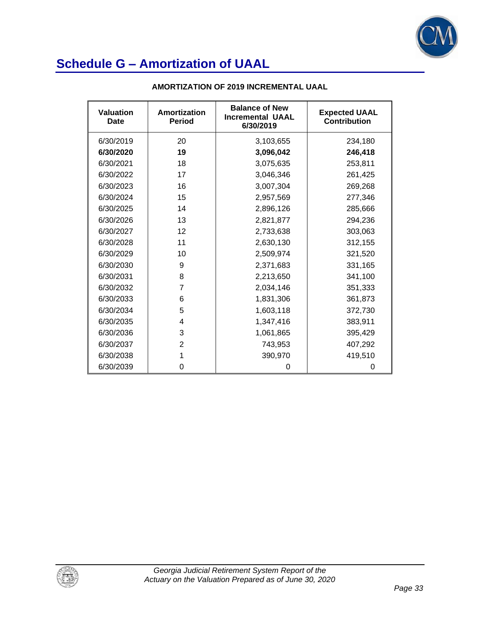

| <b>Valuation</b><br>Date | Amortization<br><b>Period</b> | <b>Balance of New</b><br><b>Incremental UAAL</b><br>6/30/2019 | <b>Expected UAAL</b><br><b>Contribution</b> |
|--------------------------|-------------------------------|---------------------------------------------------------------|---------------------------------------------|
| 6/30/2019                | 20                            | 3,103,655                                                     | 234,180                                     |
| 6/30/2020                | 19                            | 3,096,042                                                     | 246,418                                     |
| 6/30/2021                | 18                            | 3,075,635                                                     | 253,811                                     |
| 6/30/2022                | 17                            | 3,046,346                                                     | 261,425                                     |
| 6/30/2023                | 16                            | 3,007,304                                                     | 269,268                                     |
| 6/30/2024                | 15                            | 2,957,569                                                     | 277,346                                     |
| 6/30/2025                | 14                            | 2,896,126                                                     | 285,666                                     |
| 6/30/2026                | 13                            | 2,821,877                                                     | 294,236                                     |
| 6/30/2027                | 12                            | 2,733,638                                                     | 303,063                                     |
| 6/30/2028                | 11                            | 2,630,130                                                     | 312,155                                     |
| 6/30/2029                | 10                            | 2,509,974                                                     | 321,520                                     |
| 6/30/2030                | 9                             | 2,371,683                                                     | 331,165                                     |
| 6/30/2031                | 8                             | 2,213,650                                                     | 341,100                                     |
| 6/30/2032                | 7                             | 2,034,146                                                     | 351,333                                     |
| 6/30/2033                | 6                             | 1,831,306                                                     | 361,873                                     |
| 6/30/2034                | 5                             | 1,603,118                                                     | 372,730                                     |
| 6/30/2035                | 4                             | 1,347,416                                                     | 383,911                                     |
| 6/30/2036                | 3                             | 1,061,865                                                     | 395,429                                     |
| 6/30/2037                | $\overline{2}$                | 743,953                                                       | 407,292                                     |
| 6/30/2038                | 1                             | 390,970                                                       | 419,510                                     |
| 6/30/2039                | 0                             | 0                                                             | 0                                           |

### **AMORTIZATION OF 2019 INCREMENTAL UAAL**

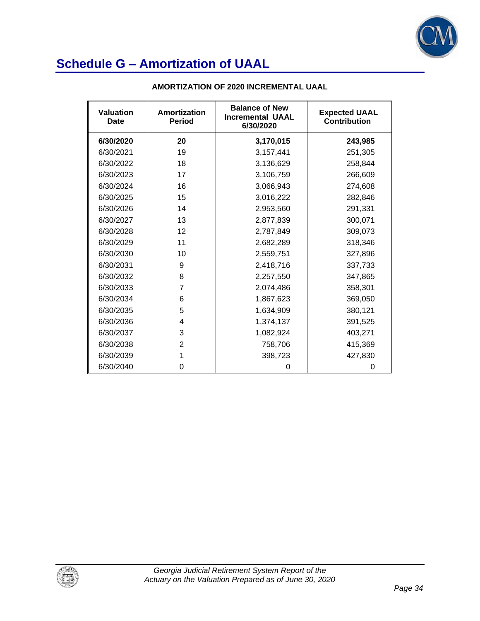

| <b>Valuation</b><br>Date | Amortization<br><b>Period</b> | <b>Balance of New</b><br><b>Incremental UAAL</b><br>6/30/2020 | <b>Expected UAAL</b><br><b>Contribution</b> |
|--------------------------|-------------------------------|---------------------------------------------------------------|---------------------------------------------|
| 6/30/2020                | 20                            | 3,170,015                                                     | 243,985                                     |
| 6/30/2021                | 19                            | 3,157,441                                                     | 251,305                                     |
| 6/30/2022                | 18                            | 3,136,629                                                     | 258,844                                     |
| 6/30/2023                | 17                            | 3,106,759                                                     | 266,609                                     |
| 6/30/2024                | 16                            | 3,066,943                                                     | 274,608                                     |
| 6/30/2025                | 15                            | 3,016,222                                                     | 282,846                                     |
| 6/30/2026                | 14                            | 2,953,560                                                     | 291,331                                     |
| 6/30/2027                | 13                            | 2,877,839                                                     | 300,071                                     |
| 6/30/2028                | 12                            | 2,787,849                                                     | 309,073                                     |
| 6/30/2029                | 11                            | 2,682,289                                                     | 318,346                                     |
| 6/30/2030                | 10                            | 2,559,751                                                     | 327,896                                     |
| 6/30/2031                | 9                             | 2,418,716                                                     | 337,733                                     |
| 6/30/2032                | 8                             | 2,257,550                                                     | 347,865                                     |
| 6/30/2033                | 7                             | 2,074,486                                                     | 358,301                                     |
| 6/30/2034                | 6                             | 1,867,623                                                     | 369,050                                     |
| 6/30/2035                | 5                             | 1,634,909                                                     | 380,121                                     |
| 6/30/2036                | 4                             | 1,374,137                                                     | 391,525                                     |
| 6/30/2037                | 3                             | 1,082,924                                                     | 403,271                                     |
| 6/30/2038                | $\overline{2}$                | 758,706                                                       | 415,369                                     |
| 6/30/2039                | 1                             | 398,723                                                       | 427,830                                     |
| 6/30/2040                | 0                             | 0                                                             | 0                                           |

### **AMORTIZATION OF 2020 INCREMENTAL UAAL**

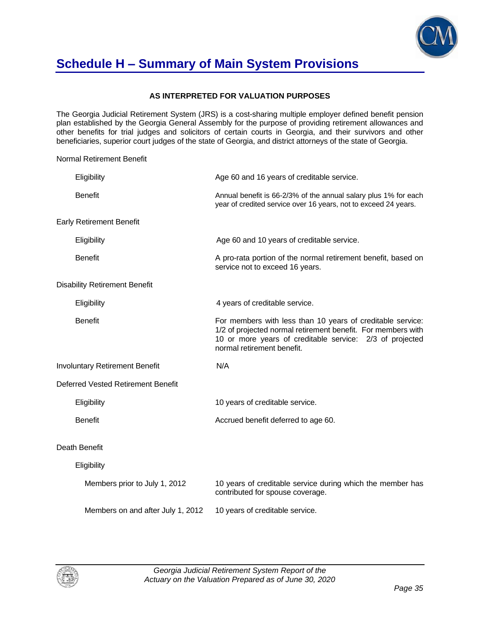

## **Schedule H – Summary of Main System Provisions**

### **AS INTERPRETED FOR VALUATION PURPOSES**

The Georgia Judicial Retirement System (JRS) is a cost-sharing multiple employer defined benefit pension plan established by the Georgia General Assembly for the purpose of providing retirement allowances and other benefits for trial judges and solicitors of certain courts in Georgia, and their survivors and other beneficiaries, superior court judges of the state of Georgia, and district attorneys of the state of Georgia.

Normal Retirement Benefit

| Eligibility                           | Age 60 and 16 years of creditable service.                                                                                                                                                                           |
|---------------------------------------|----------------------------------------------------------------------------------------------------------------------------------------------------------------------------------------------------------------------|
| <b>Benefit</b>                        | Annual benefit is 66-2/3% of the annual salary plus 1% for each<br>year of credited service over 16 years, not to exceed 24 years.                                                                                   |
| <b>Early Retirement Benefit</b>       |                                                                                                                                                                                                                      |
| Eligibility                           | Age 60 and 10 years of creditable service.                                                                                                                                                                           |
| <b>Benefit</b>                        | A pro-rata portion of the normal retirement benefit, based on<br>service not to exceed 16 years.                                                                                                                     |
| <b>Disability Retirement Benefit</b>  |                                                                                                                                                                                                                      |
| Eligibility                           | 4 years of creditable service.                                                                                                                                                                                       |
| <b>Benefit</b>                        | For members with less than 10 years of creditable service:<br>1/2 of projected normal retirement benefit. For members with<br>10 or more years of creditable service: 2/3 of projected<br>normal retirement benefit. |
| <b>Involuntary Retirement Benefit</b> | N/A                                                                                                                                                                                                                  |
| Deferred Vested Retirement Benefit    |                                                                                                                                                                                                                      |
| Eligibility                           | 10 years of creditable service.                                                                                                                                                                                      |
| <b>Benefit</b>                        | Accrued benefit deferred to age 60.                                                                                                                                                                                  |
| Death Benefit                         |                                                                                                                                                                                                                      |
| Eligibility                           |                                                                                                                                                                                                                      |
| Members prior to July 1, 2012         | 10 years of creditable service during which the member has<br>contributed for spouse coverage.                                                                                                                       |
| Members on and after July 1, 2012     | 10 years of creditable service.                                                                                                                                                                                      |

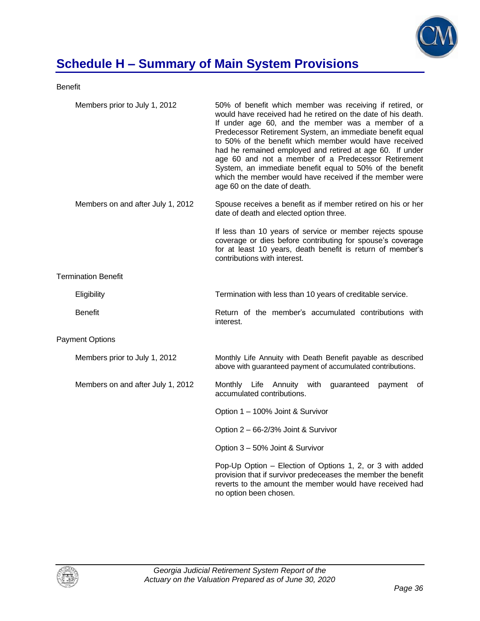

# **Schedule H – Summary of Main System Provisions**

Benefit

| Members prior to July 1, 2012     | 50% of benefit which member was receiving if retired, or<br>would have received had he retired on the date of his death.<br>If under age 60, and the member was a member of a<br>Predecessor Retirement System, an immediate benefit equal<br>to 50% of the benefit which member would have received<br>had he remained employed and retired at age 60. If under<br>age 60 and not a member of a Predecessor Retirement<br>System, an immediate benefit equal to 50% of the benefit<br>which the member would have received if the member were<br>age 60 on the date of death. |
|-----------------------------------|--------------------------------------------------------------------------------------------------------------------------------------------------------------------------------------------------------------------------------------------------------------------------------------------------------------------------------------------------------------------------------------------------------------------------------------------------------------------------------------------------------------------------------------------------------------------------------|
| Members on and after July 1, 2012 | Spouse receives a benefit as if member retired on his or her<br>date of death and elected option three.                                                                                                                                                                                                                                                                                                                                                                                                                                                                        |
|                                   | If less than 10 years of service or member rejects spouse<br>coverage or dies before contributing for spouse's coverage<br>for at least 10 years, death benefit is return of member's<br>contributions with interest.                                                                                                                                                                                                                                                                                                                                                          |
| <b>Termination Benefit</b>        |                                                                                                                                                                                                                                                                                                                                                                                                                                                                                                                                                                                |
| Eligibility                       | Termination with less than 10 years of creditable service.                                                                                                                                                                                                                                                                                                                                                                                                                                                                                                                     |
| <b>Benefit</b>                    | Return of the member's accumulated contributions with<br>interest.                                                                                                                                                                                                                                                                                                                                                                                                                                                                                                             |
| <b>Payment Options</b>            |                                                                                                                                                                                                                                                                                                                                                                                                                                                                                                                                                                                |
| Members prior to July 1, 2012     | Monthly Life Annuity with Death Benefit payable as described<br>above with guaranteed payment of accumulated contributions.                                                                                                                                                                                                                                                                                                                                                                                                                                                    |
| Members on and after July 1, 2012 | Monthly Life Annuity with<br>guaranteed<br>payment<br>of<br>accumulated contributions.                                                                                                                                                                                                                                                                                                                                                                                                                                                                                         |
|                                   | Option 1 - 100% Joint & Survivor                                                                                                                                                                                                                                                                                                                                                                                                                                                                                                                                               |
|                                   | Option 2 - 66-2/3% Joint & Survivor                                                                                                                                                                                                                                                                                                                                                                                                                                                                                                                                            |
|                                   | Option 3 - 50% Joint & Survivor                                                                                                                                                                                                                                                                                                                                                                                                                                                                                                                                                |
|                                   | Pop-Up Option – Election of Options 1, 2, or 3 with added<br>provision that if survivor predeceases the member the benefit<br>reverts to the amount the member would have received had<br>no option been chosen.                                                                                                                                                                                                                                                                                                                                                               |

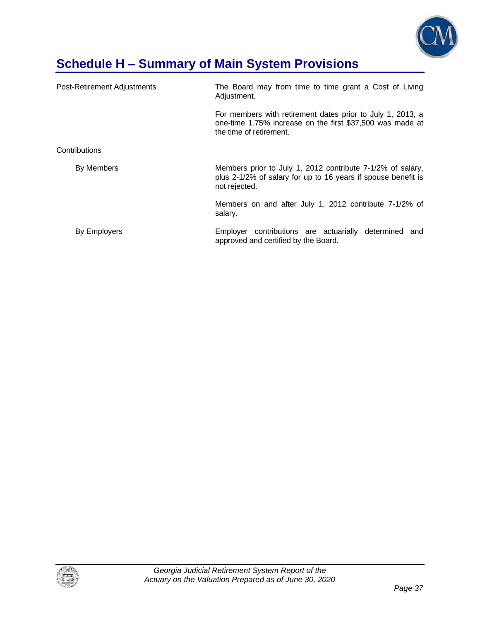

# **Schedule H – Summary of Main System Provisions**

| Post-Retirement Adjustments | The Board may from time to time grant a Cost of Living<br>Adjustment.                                                                              |
|-----------------------------|----------------------------------------------------------------------------------------------------------------------------------------------------|
|                             | For members with retirement dates prior to July 1, 2013, a<br>one-time 1.75% increase on the first \$37,500 was made at<br>the time of retirement. |
| Contributions               |                                                                                                                                                    |
| By Members                  | Members prior to July 1, 2012 contribute 7-1/2% of salary,<br>plus 2-1/2% of salary for up to 16 years if spouse benefit is<br>not rejected.       |
|                             | Members on and after July 1, 2012 contribute 7-1/2% of<br>salary.                                                                                  |
| By Employers                | Employer contributions are actuarially<br>determined and<br>approved and certified by the Board.                                                   |

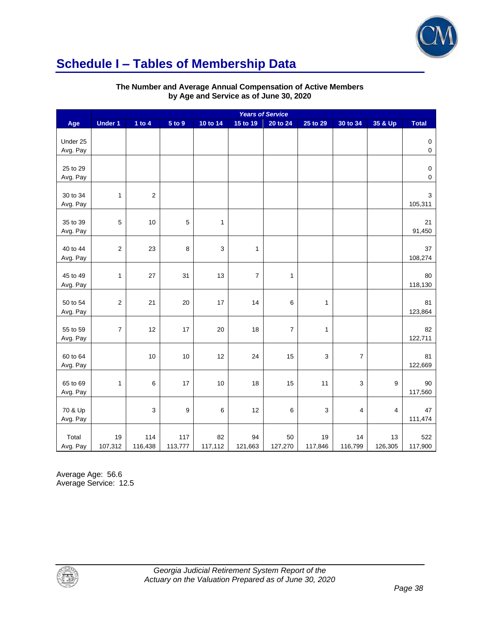

## **Schedule I – Tables of Membership Data**

|                      | <b>Years of Service</b> |                |                |               |                |                  |               |                  |               |                          |
|----------------------|-------------------------|----------------|----------------|---------------|----------------|------------------|---------------|------------------|---------------|--------------------------|
| Age                  | <b>Under 1</b>          | 1 to $4$       | 5 to 9         | 10 to 14      | 15 to 19       | 20 to 24         | 25 to 29      | 30 to 34         | 35 & Up       | <b>Total</b>             |
| Under 25<br>Avg. Pay |                         |                |                |               |                |                  |               |                  |               | $\pmb{0}$<br>$\mathbf 0$ |
| 25 to 29<br>Avg. Pay |                         |                |                |               |                |                  |               |                  |               | $\pmb{0}$<br>$\mathsf 0$ |
| 30 to 34<br>Avg. Pay | 1                       | $\overline{2}$ |                |               |                |                  |               |                  |               | $\mathbf{3}$<br>105,311  |
| 35 to 39<br>Avg. Pay | 5                       | 10             | $\mathbf 5$    | $\mathbf{1}$  |                |                  |               |                  |               | 21<br>91,450             |
| 40 to 44<br>Avg. Pay | 2                       | 23             | 8              | 3             | $\mathbf{1}$   |                  |               |                  |               | 37<br>108,274            |
| 45 to 49<br>Avg. Pay | 1                       | 27             | 31             | 13            | $\overline{7}$ | $\mathbf{1}$     |               |                  |               | 80<br>118,130            |
| 50 to 54<br>Avg. Pay | $\overline{\mathbf{c}}$ | 21             | 20             | 17            | 14             | 6                | $\mathbf{1}$  |                  |               | 81<br>123,864            |
| 55 to 59<br>Avg. Pay | $\boldsymbol{7}$        | 12             | 17             | 20            | 18             | $\boldsymbol{7}$ | $\mathbf{1}$  |                  |               | 82<br>122,711            |
| 60 to 64<br>Avg. Pay |                         | 10             | $10$           | 12            | 24             | 15               | 3             | $\boldsymbol{7}$ |               | 81<br>122,669            |
| 65 to 69<br>Avg. Pay | $\mathbf{1}$            | $\,6\,$        | 17             | 10            | 18             | 15               | 11            | 3                | 9             | 90<br>117,560            |
| 70 & Up<br>Avg. Pay  |                         | $\mathsf 3$    | 9              | $\,6$         | 12             | 6                | $\mathsf 3$   | 4                | 4             | 47<br>111,474            |
| Total<br>Avg. Pay    | 19<br>107,312           | 114<br>116,438 | 117<br>113,777 | 82<br>117,112 | 94<br>121,663  | 50<br>127,270    | 19<br>117,846 | 14<br>116,799    | 13<br>126,305 | 522<br>117,900           |

### **The Number and Average Annual Compensation of Active Members by Age and Service as of June 30, 2020**

Average Age: 56.6 Average Service: 12.5

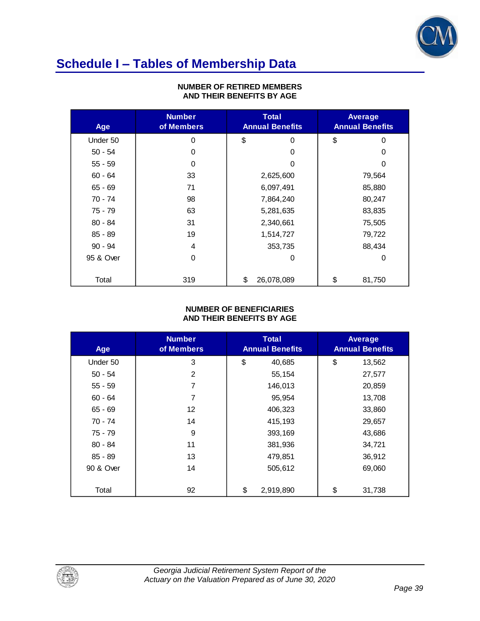

# **Schedule I – Tables of Membership Data**

| Age       | <b>Number</b><br>of Members |           | <b>Total</b><br><b>Annual Benefits</b> |        | Average<br><b>Annual Benefits</b> |
|-----------|-----------------------------|-----------|----------------------------------------|--------|-----------------------------------|
| Under 50  | 0                           | \$        | 0                                      | \$     | 0                                 |
| $50 - 54$ | 0                           |           | 0                                      |        | 0                                 |
| $55 - 59$ | 0                           |           | 0                                      |        | 0                                 |
| $60 - 64$ | 33                          |           | 2,625,600                              |        | 79,564                            |
| $65 - 69$ | 71                          | 6,097,491 |                                        | 85,880 |                                   |
| 70 - 74   | 98                          |           | 7,864,240                              |        | 80,247                            |
| 75 - 79   | 63                          |           | 5,281,635                              |        | 83,835                            |
| $80 - 84$ | 31                          |           | 2,340,661                              |        | 75,505                            |
| $85 - 89$ | 19                          |           | 1,514,727                              |        | 79,722                            |
| $90 - 94$ | 4                           |           | 353,735                                |        | 88,434                            |
| 95 & Over | 0                           |           | 0                                      |        | 0                                 |
| Total     | 319                         | \$        | 26,078,089                             | \$     | 81,750                            |

### **NUMBER OF RETIRED MEMBERS AND THEIR BENEFITS BY AGE**

### **NUMBER OF BENEFICIARIES AND THEIR BENEFITS BY AGE**

| Age       | <b>Number</b><br>of Members | <b>Total</b><br><b>Annual Benefits</b> | <b>Average</b><br><b>Annual Benefits</b> |
|-----------|-----------------------------|----------------------------------------|------------------------------------------|
| Under 50  | 3                           | \$<br>40,685                           | \$<br>13,562                             |
| $50 - 54$ | 2                           | 55,154                                 | 27,577                                   |
| $55 - 59$ | 7                           | 146,013                                | 20,859                                   |
| $60 - 64$ | 7                           | 95,954                                 | 13,708                                   |
| $65 - 69$ | 12                          | 406,323                                | 33,860                                   |
| 70 - 74   | 14                          | 415,193                                | 29,657                                   |
| 75 - 79   | 9                           | 393,169                                | 43,686                                   |
| $80 - 84$ | 11                          | 381,936                                | 34,721                                   |
| 85 - 89   | 13                          | 479,851                                | 36,912                                   |
| 90 & Over | 14                          | 505,612                                | 69,060                                   |
| Total     | 92                          | \$<br>2,919,890                        | \$<br>31,738                             |

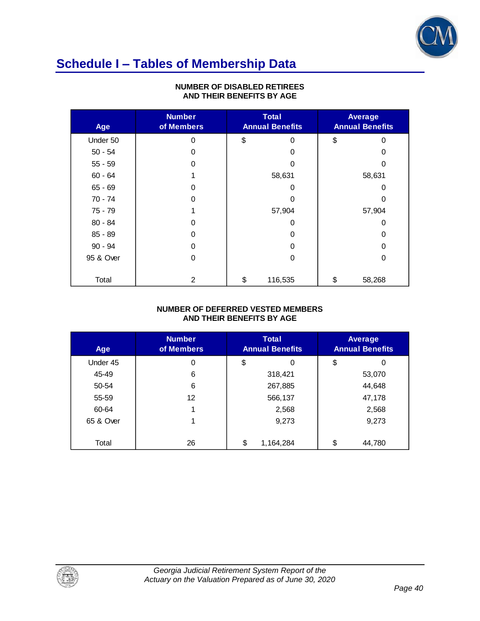

## **Schedule I – Tables of Membership Data**

| Age       | <b>Number</b><br>of Members | <b>Total</b><br><b>Annual Benefits</b> | Average<br><b>Annual Benefits</b> |          |  |
|-----------|-----------------------------|----------------------------------------|-----------------------------------|----------|--|
| Under 50  | 0                           | \$<br>0                                | \$                                | $\Omega$ |  |
| $50 - 54$ | 0                           | 0                                      |                                   | 0        |  |
| $55 - 59$ | 0                           | 0                                      |                                   | 0        |  |
| $60 - 64$ |                             | 58,631                                 |                                   | 58,631   |  |
| $65 - 69$ | 0                           | 0                                      |                                   | 0        |  |
| $70 - 74$ | 0                           | 0                                      |                                   | 0        |  |
| 75 - 79   |                             | 57,904                                 |                                   | 57,904   |  |
| $80 - 84$ | 0                           | 0                                      |                                   | 0        |  |
| 85 - 89   | 0                           | 0                                      |                                   | 0        |  |
| $90 - 94$ | 0                           | 0                                      |                                   | 0        |  |
| 95 & Over | 0                           | 0                                      |                                   | 0        |  |
| Total     | 2                           | \$<br>116,535                          | \$                                | 58,268   |  |

### **NUMBER OF DISABLED RETIREES AND THEIR BENEFITS BY AGE**

### **NUMBER OF DEFERRED VESTED MEMBERS AND THEIR BENEFITS BY AGE**

| Age       | <b>Number</b><br>of Members | Total<br><b>Annual Benefits</b> | <b>Average</b><br><b>Annual Benefits</b> |  |
|-----------|-----------------------------|---------------------------------|------------------------------------------|--|
| Under 45  | 0                           | \$<br>0                         | \$<br>0                                  |  |
| 45-49     | 6                           | 318,421                         | 53,070                                   |  |
| 50-54     | 6                           | 267,885                         | 44,648                                   |  |
| 55-59     | 12                          | 566,137                         | 47,178                                   |  |
| 60-64     |                             | 2,568                           | 2,568                                    |  |
| 65 & Over |                             | 9,273                           | 9,273                                    |  |
|           |                             |                                 |                                          |  |
| Total     | 26                          | \$<br>1,164,284                 | \$<br>44,780                             |  |